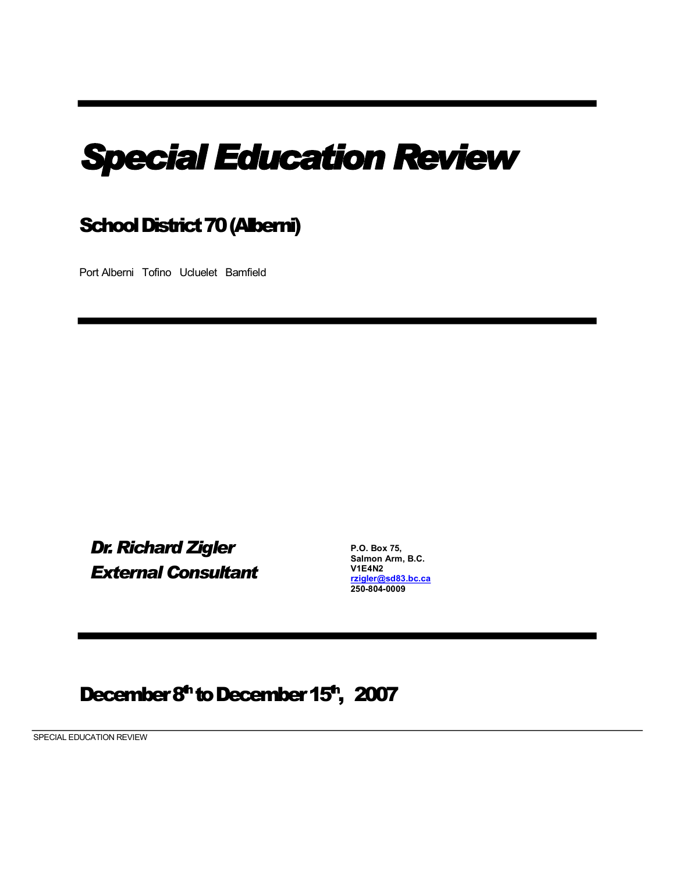# *Special Education Review*

# School District 70 (Alberni)

Port Alberni Tofino Ucluelet Bamfield

*Dr. Richard Zigler External Consultant*

**P.O. Box 75, Salmon Arm, B.C. V1E4N2 [rzigler@sd83.bc.ca](mailto:rzigler@sd83.bc.ca) 2508040009**

# December 8<sup>th</sup> to December 15<sup>th</sup>, 2007

SPECIAL EDUCATION REVIEW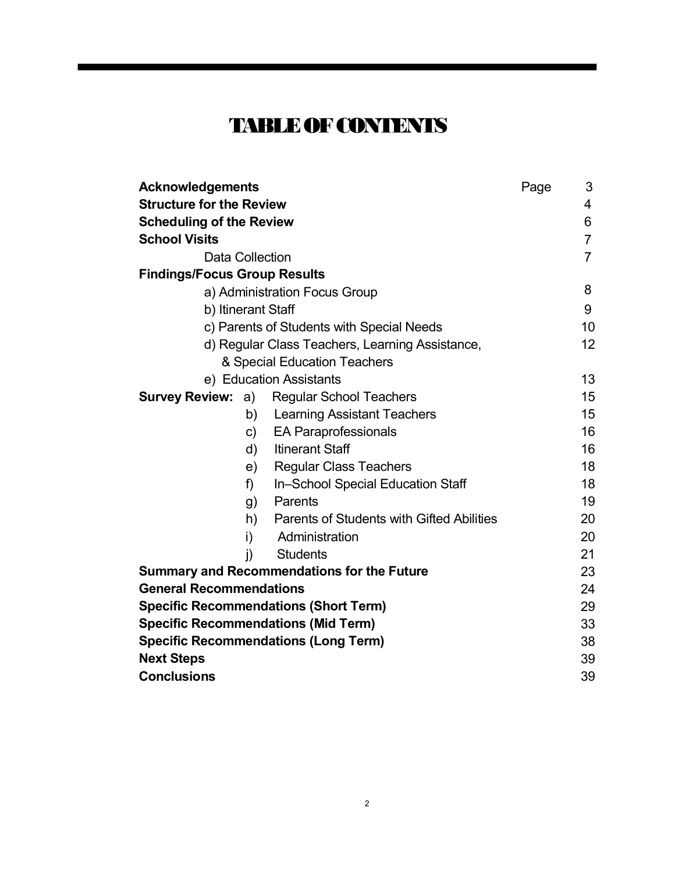# **TABLEOFCONTENTS**

| <b>Acknowledgements</b>                           |                                                 | Page | 3              |  |
|---------------------------------------------------|-------------------------------------------------|------|----------------|--|
| <b>Structure for the Review</b>                   |                                                 |      | 4              |  |
| <b>Scheduling of the Review</b>                   |                                                 |      | 6              |  |
| <b>School Visits</b>                              |                                                 |      | $\overline{7}$ |  |
| Data Collection                                   |                                                 |      | $\overline{7}$ |  |
| <b>Findings/Focus Group Results</b>               |                                                 |      |                |  |
| a) Administration Focus Group                     |                                                 |      | 8              |  |
| b) Itinerant Staff                                |                                                 |      | 9              |  |
| c) Parents of Students with Special Needs         |                                                 |      | 10             |  |
| d) Regular Class Teachers, Learning Assistance,   |                                                 |      | 12             |  |
| & Special Education Teachers                      |                                                 |      |                |  |
| e) Education Assistants                           |                                                 |      | 13             |  |
| <b>Survey Review: a)</b>                          | <b>Regular School Teachers</b>                  |      | 15             |  |
|                                                   | <b>Learning Assistant Teachers</b><br>b)        |      | 15             |  |
|                                                   | <b>EA Paraprofessionals</b><br>$\mathsf{C}$     |      | 16             |  |
|                                                   | d)<br><b>Itinerant Staff</b>                    |      | 16             |  |
|                                                   | <b>Regular Class Teachers</b><br>e)             |      | 18             |  |
| f)                                                | In-School Special Education Staff               |      | 18             |  |
|                                                   | Parents<br>g)                                   |      | 19             |  |
|                                                   | Parents of Students with Gifted Abilities<br>h) |      | 20             |  |
| i)                                                | Administration                                  |      | 20             |  |
| $\mathbf{j}$                                      | <b>Students</b>                                 |      | 21             |  |
| <b>Summary and Recommendations for the Future</b> |                                                 |      | 23             |  |
| <b>General Recommendations</b>                    |                                                 |      | 24             |  |
| <b>Specific Recommendations (Short Term)</b>      |                                                 |      | 29             |  |
| <b>Specific Recommendations (Mid Term)</b>        |                                                 |      | 33             |  |
| <b>Specific Recommendations (Long Term)</b>       |                                                 |      | 38             |  |
| <b>Next Steps</b>                                 |                                                 |      | 39             |  |
| <b>Conclusions</b>                                |                                                 |      | 39             |  |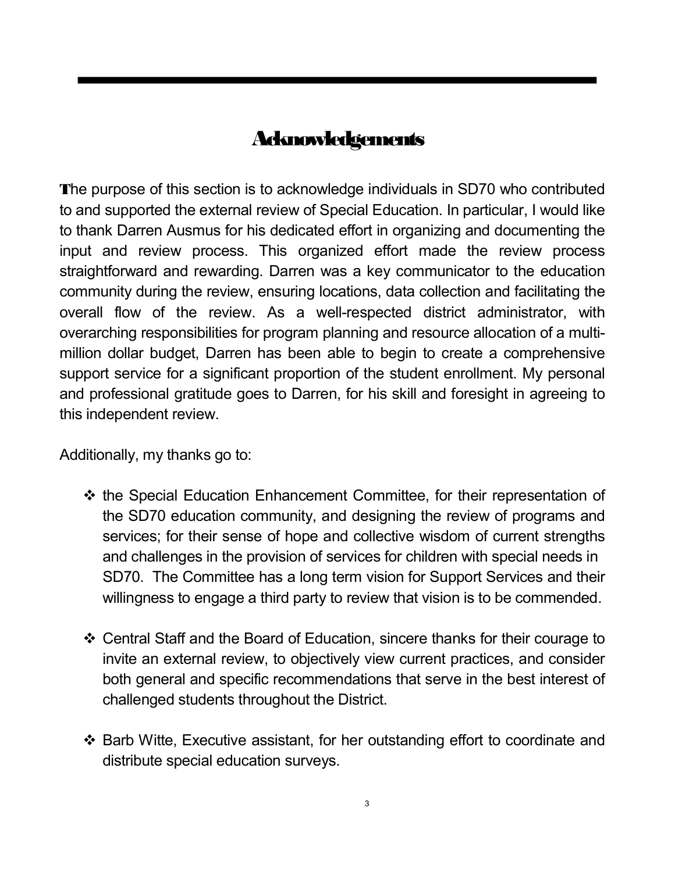# **Acknowledgements**

**T**he purpose of this section is to acknowledge individuals in SD70 who contributed to and supported the external review of Special Education. In particular, I would like to thank Darren Ausmus for his dedicated effort in organizing and documenting the input and review process. This organized effort made the review process straightforward and rewarding. Darren was a key communicator to the education community during the review, ensuring locations, data collection and facilitating the overall flow of the review. As a well-respected district administrator, with overarching responsibilities for program planning and resource allocation of a multi million dollar budget, Darren has been able to begin to create a comprehensive support service for a significant proportion of the student enrollment. My personal and professional gratitude goes to Darren, for his skill and foresight in agreeing to this independent review.

Additionally, my thanks go to:

- $\div$  the Special Education Enhancement Committee, for their representation of the SD70 education community, and designing the review of programs and services; for their sense of hope and collective wisdom of current strengths and challenges in the provision of services for children with special needs in SD70. The Committee has a long term vision for Support Services and their willingness to engage a third party to review that vision is to be commended.
- v Central Staff and the Board of Education, sincere thanks for their courage to invite an external review, to objectively view current practices, and consider both general and specific recommendations that serve in the best interest of challenged students throughout the District.
- v Barb Witte, Executive assistant, for her outstanding effort to coordinate and distribute special education surveys.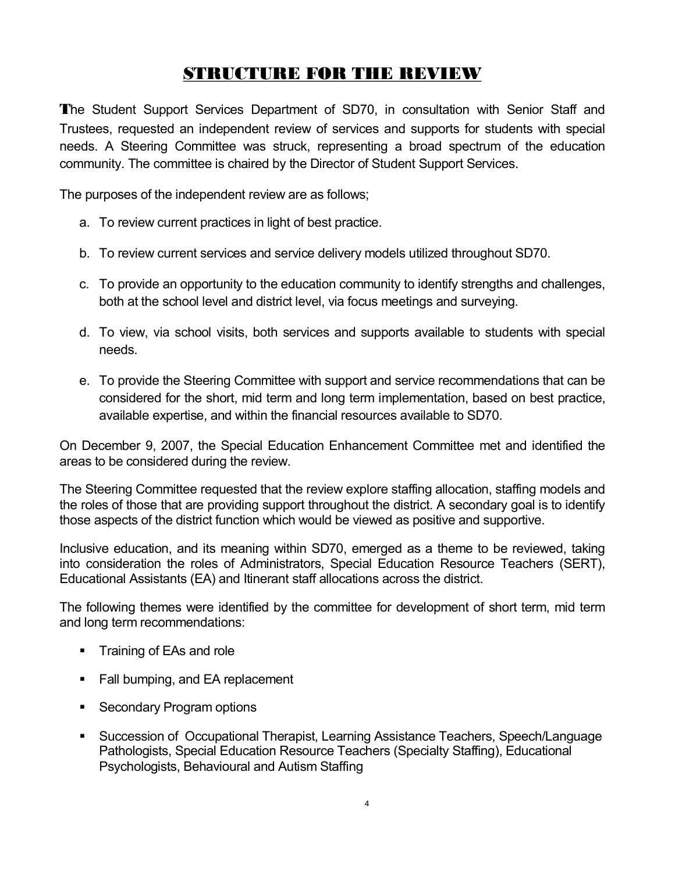# **STRUCTURE FOR THE REVIEW**

**T**he Student Support Services Department of SD70, in consultation with Senior Staff and Trustees, requested an independent review of services and supports for students with special needs. A Steering Committee was struck, representing a broad spectrum of the education community. The committee is chaired by the Director of Student Support Services.

The purposes of the independent review are as follows;

- a. To review current practices in light of best practice.
- b. To review current services and service delivery models utilized throughout SD70.
- c. To provide an opportunity to the education community to identify strengths and challenges, both at the school level and district level, via focus meetings and surveying.
- d. To view, via school visits, both services and supports available to students with special needs.
- e. To provide the Steering Committee with support and service recommendations that can be considered for the short, mid term and long term implementation, based on best practice, available expertise, and within the financial resources available to SD70.

On December 9, 2007, the Special Education Enhancement Committee met and identified the areas to be considered during the review.

The Steering Committee requested that the review explore staffing allocation, staffing models and the roles of those that are providing support throughout the district. A secondary goal is to identify those aspects of the district function which would be viewed as positive and supportive.

Inclusive education, and its meaning within SD70, emerged as a theme to be reviewed, taking into consideration the roles of Administrators, Special Education Resource Teachers (SERT), Educational Assistants (EA) and Itinerant staff allocations across the district.

The following themes were identified by the committee for development of short term, mid term and long term recommendations:

- Training of EAs and role
- Fall bumping, and EA replacement
- Secondary Program options
- ß Succession of Occupational Therapist, Learning Assistance Teachers, Speech/Language Pathologists, Special Education Resource Teachers (Specialty Staffing), Educational Psychologists, Behavioural and Autism Staffing

4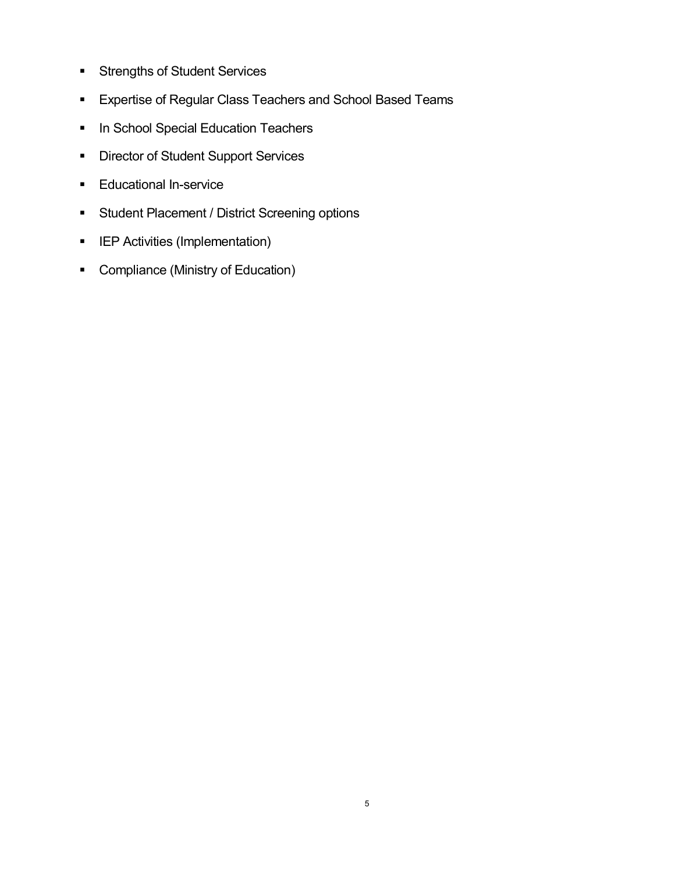- **Strengths of Student Services**
- **Expertise of Regular Class Teachers and School Based Teams**
- **In School Special Education Teachers**
- **•** Director of Student Support Services
- **Educational In-service**
- **Student Placement / District Screening options**
- **EXECUTER Activities (Implementation)**
- Compliance (Ministry of Education)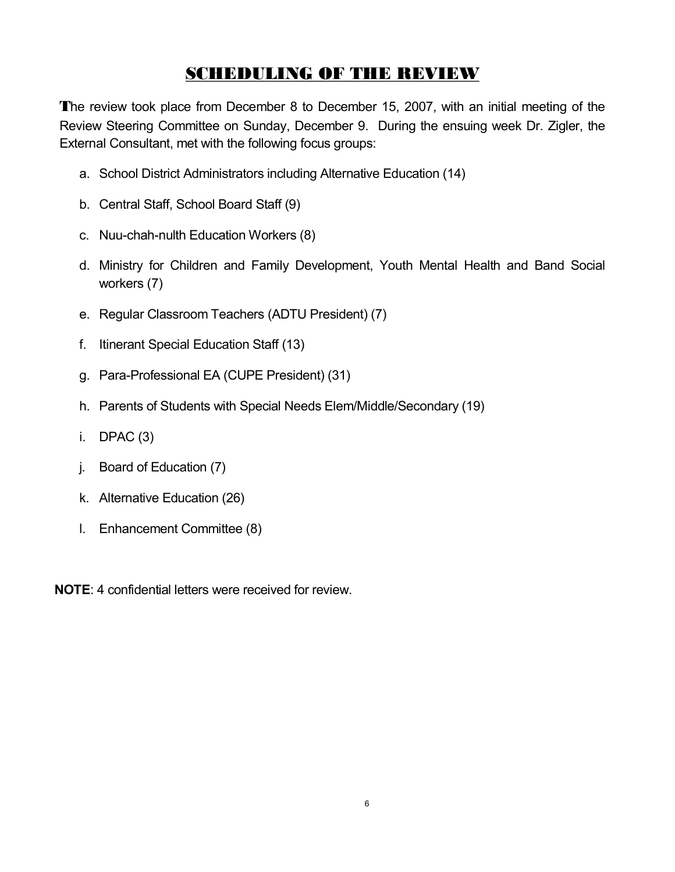# **SCHEDULING OF THE REVIEW**

**T**he review took place from December 8 to December 15, 2007, with an initial meeting of the Review Steering Committee on Sunday, December 9. During the ensuing week Dr. Zigler, the External Consultant, met with the following focus groups:

- a. School District Administrators including Alternative Education (14)
- b. Central Staff, School Board Staff (9)
- c. Nuu-chah-nulth Education Workers (8)
- d. Ministry for Children and Family Development, Youth Mental Health and Band Social workers (7)
- e. Regular Classroom Teachers (ADTU President) (7)
- f. Itinerant Special Education Staff (13)
- g. Para-Professional EA (CUPE President) (31)
- h. Parents of Students with Special Needs Elem/Middle/Secondary (19)
- $i.$  DPAC  $(3)$
- j. Board of Education (7)
- k. Alternative Education (26)
- l. Enhancement Committee (8)

**NOTE**: 4 confidential letters were received for review.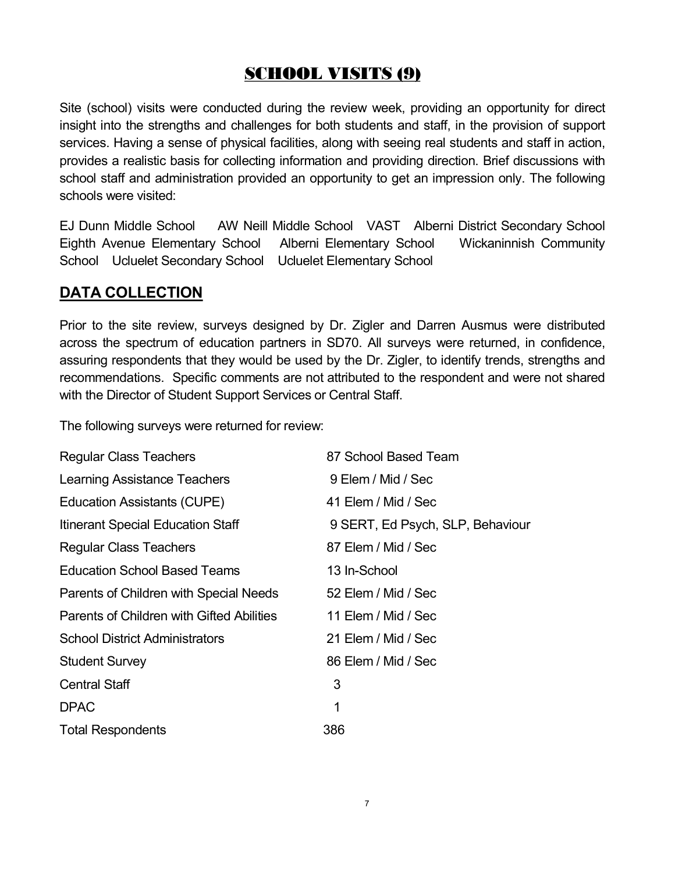# **SCHOOL VISITS (9)**

Site (school) visits were conducted during the review week, providing an opportunity for direct insight into the strengths and challenges for both students and staff, in the provision of support services. Having a sense of physical facilities, along with seeing real students and staff in action, provides a realistic basis for collecting information and providing direction. Brief discussions with school staff and administration provided an opportunity to get an impression only. The following schools were visited:

EJ Dunn Middle School AW Neill Middle School VAST Alberni District Secondary School Eighth Avenue Elementary School Alberni Elementary School Wickaninnish Community School Ucluelet Secondary School Ucluelet Elementary School

### **DATA COLLECTION**

Prior to the site review, surveys designed by Dr. Zigler and Darren Ausmus were distributed across the spectrum of education partners in SD70. All surveys were returned, in confidence, assuring respondents that they would be used by the Dr. Zigler, to identify trends, strengths and recommendations. Specific comments are not attributed to the respondent and were not shared with the Director of Student Support Services or Central Staff.

The following surveys were returned for review:

| <b>Regular Class Teachers</b>             | 87 School Based Team             |
|-------------------------------------------|----------------------------------|
| Learning Assistance Teachers              | 9 Elem / Mid / Sec               |
| <b>Education Assistants (CUPE)</b>        | 41 Elem / Mid / Sec              |
| Itinerant Special Education Staff         | 9 SERT, Ed Psych, SLP, Behaviour |
| <b>Regular Class Teachers</b>             | 87 Elem / Mid / Sec              |
| <b>Education School Based Teams</b>       | 13 In-School                     |
| Parents of Children with Special Needs    | 52 Elem / Mid / Sec              |
| Parents of Children with Gifted Abilities | 11 Elem / Mid / Sec              |
| <b>School District Administrators</b>     | 21 Elem / Mid / Sec              |
| <b>Student Survey</b>                     | 86 Elem / Mid / Sec              |
| <b>Central Staff</b>                      | 3                                |
| <b>DPAC</b>                               | 1                                |
| <b>Total Respondents</b>                  | 386                              |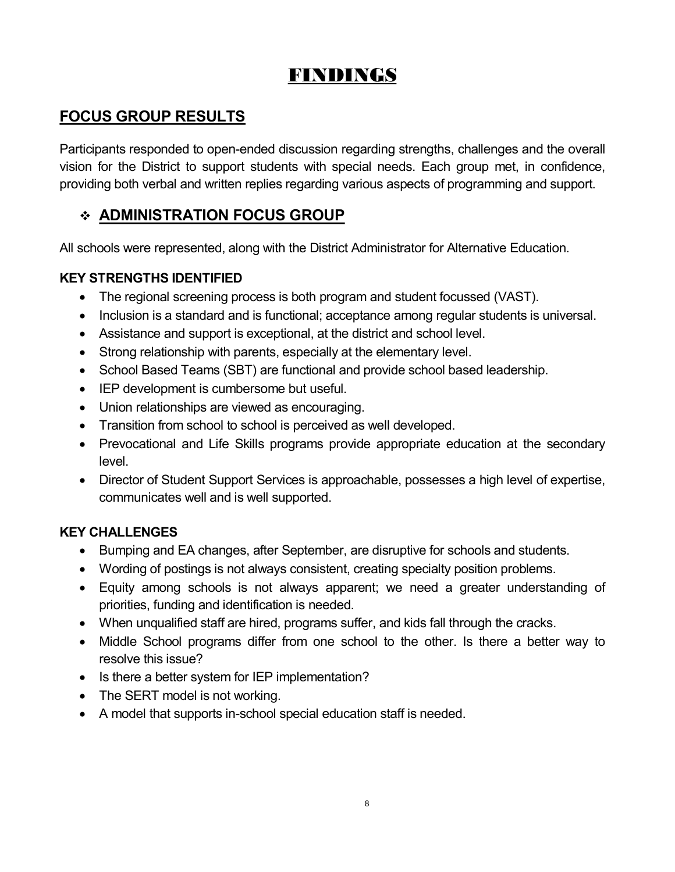# **FINDINGS**

# **FOCUS GROUP RESULTS**

Participants responded to open-ended discussion regarding strengths, challenges and the overall vision for the District to support students with special needs. Each group met, in confidence, providing both verbal and written replies regarding various aspects of programming and support.

# v **ADMINISTRATION FOCUS GROUP**

All schools were represented, along with the District Administrator for Alternative Education.

#### **KEY STRENGTHS IDENTIFIED**

- · The regional screening process is both program and student focussed (VAST).
- · Inclusion is a standard and is functional; acceptance among regular students is universal.
- · Assistance and support is exceptional, at the district and school level.
- Strong relationship with parents, especially at the elementary level.
- · School Based Teams (SBT) are functional and provide school based leadership.
- · IEP development is cumbersome but useful.
- · Union relationships are viewed as encouraging.
- · Transition from school to school is perceived as well developed.
- · Prevocational and Life Skills programs provide appropriate education at the secondary level.
- · Director of Student Support Services is approachable, possesses a high level of expertise, communicates well and is well supported.

#### **KEY CHALLENGES**

- · Bumping and EA changes, after September, are disruptive for schools and students.
- · Wording of postings is not always consistent, creating specialty position problems.
- · Equity among schools is not always apparent; we need a greater understanding of priorities, funding and identification is needed.
- · When unqualified staff are hired, programs suffer, and kids fall through the cracks.
- · Middle School programs differ from one school to the other. Is there a better way to resolve this issue?
- Is there a better system for IEP implementation?
- The SERT model is not working.
- A model that supports in-school special education staff is needed.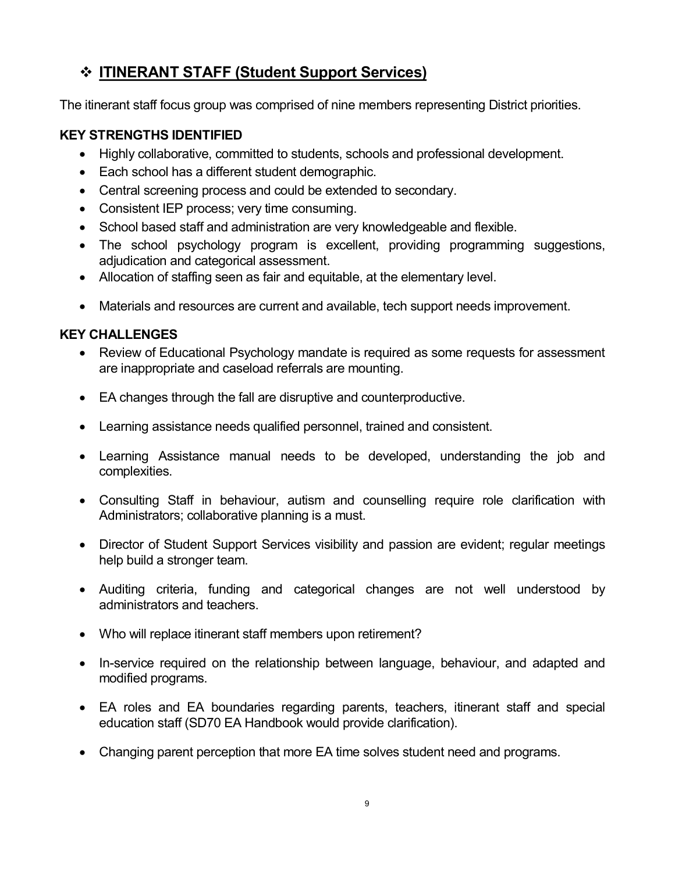# v **ITINERANT STAFF (Student Support Services)**

The itinerant staff focus group was comprised of nine members representing District priorities.

#### **KEY STRENGTHS IDENTIFIED**

- · Highly collaborative, committed to students, schools and professional development.
- · Each school has a different student demographic.
- · Central screening process and could be extended to secondary.
- Consistent IEP process; very time consuming.
- School based staff and administration are very knowledgeable and flexible.
- · The school psychology program is excellent, providing programming suggestions, adjudication and categorical assessment.
- · Allocation of staffing seen as fair and equitable, at the elementary level.
- · Materials and resources are current and available, tech support needs improvement.

#### **KEY CHALLENGES**

- Review of Educational Psychology mandate is required as some requests for assessment are inappropriate and caseload referrals are mounting.
- · EA changes through the fall are disruptive and counterproductive.
- · Learning assistance needs qualified personnel, trained and consistent.
- · Learning Assistance manual needs to be developed, understanding the job and complexities.
- · Consulting Staff in behaviour, autism and counselling require role clarification with Administrators; collaborative planning is a must.
- · Director of Student Support Services visibility and passion are evident; regular meetings help build a stronger team.
- · Auditing criteria, funding and categorical changes are not well understood by administrators and teachers.
- Who will replace itinerant staff members upon retirement?
- In-service required on the relationship between language, behaviour, and adapted and modified programs.
- EA roles and EA boundaries regarding parents, teachers, itinerant staff and special education staff (SD70 EA Handbook would provide clarification).
- · Changing parent perception that more EA time solves student need and programs.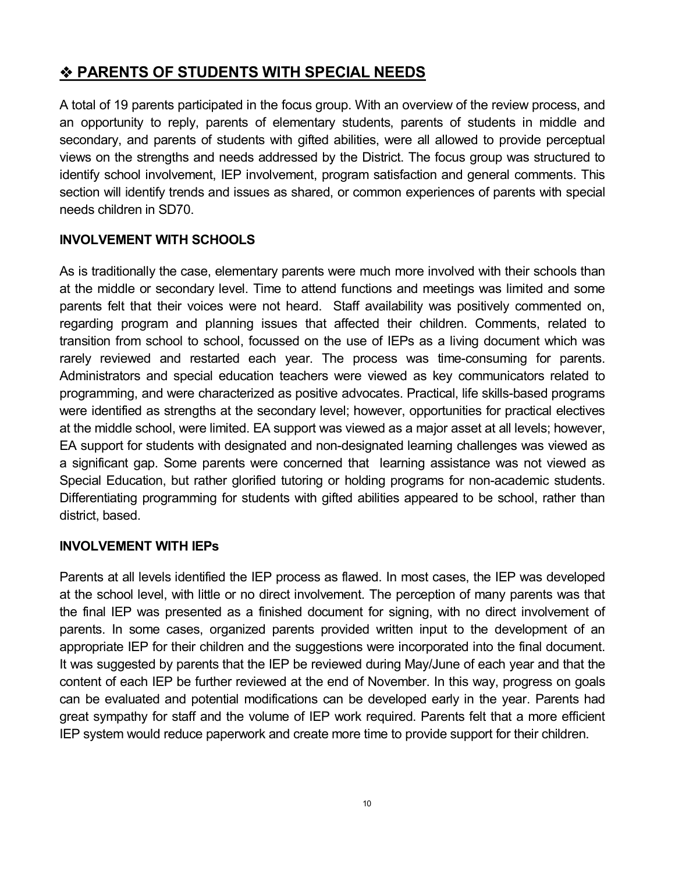# v **PARENTS OF STUDENTS WITH SPECIAL NEEDS**

A total of 19 parents participated in the focus group. With an overview of the review process, and an opportunity to reply, parents of elementary students, parents of students in middle and secondary, and parents of students with gifted abilities, were all allowed to provide perceptual views on the strengths and needs addressed by the District. The focus group was structured to identify school involvement, IEP involvement, program satisfaction and general comments. This section will identify trends and issues as shared, or common experiences of parents with special needs children in SD70.

#### **INVOLVEMENT WITH SCHOOLS**

As is traditionally the case, elementary parents were much more involved with their schools than at the middle or secondary level. Time to attend functions and meetings was limited and some parents felt that their voices were not heard. Staff availability was positively commented on, regarding program and planning issues that affected their children. Comments, related to transition from school to school, focussed on the use of IEPs as a living document which was rarely reviewed and restarted each year. The process was time-consuming for parents. Administrators and special education teachers were viewed as key communicators related to programming, and were characterized as positive advocates. Practical, life skills-based programs were identified as strengths at the secondary level; however, opportunities for practical electives at the middle school, were limited. EA support was viewed as a major asset at all levels; however, EA support for students with designated and non-designated learning challenges was viewed as a significant gap. Some parents were concerned that learning assistance was not viewed as Special Education, but rather glorified tutoring or holding programs for non-academic students. Differentiating programming for students with gifted abilities appeared to be school, rather than district, based.

#### **INVOLVEMENT WITH IEPs**

Parents at all levels identified the IEP process as flawed. In most cases, the IEP was developed at the school level, with little or no direct involvement. The perception of many parents was that the final IEP was presented as a finished document for signing, with no direct involvement of parents. In some cases, organized parents provided written input to the development of an appropriate IEP for their children and the suggestions were incorporated into the final document. It was suggested by parents that the IEP be reviewed during May/June of each year and that the content of each IEP be further reviewed at the end of November. In this way, progress on goals can be evaluated and potential modifications can be developed early in the year. Parents had great sympathy for staff and the volume of IEP work required. Parents felt that a more efficient IEP system would reduce paperwork and create more time to provide support for their children.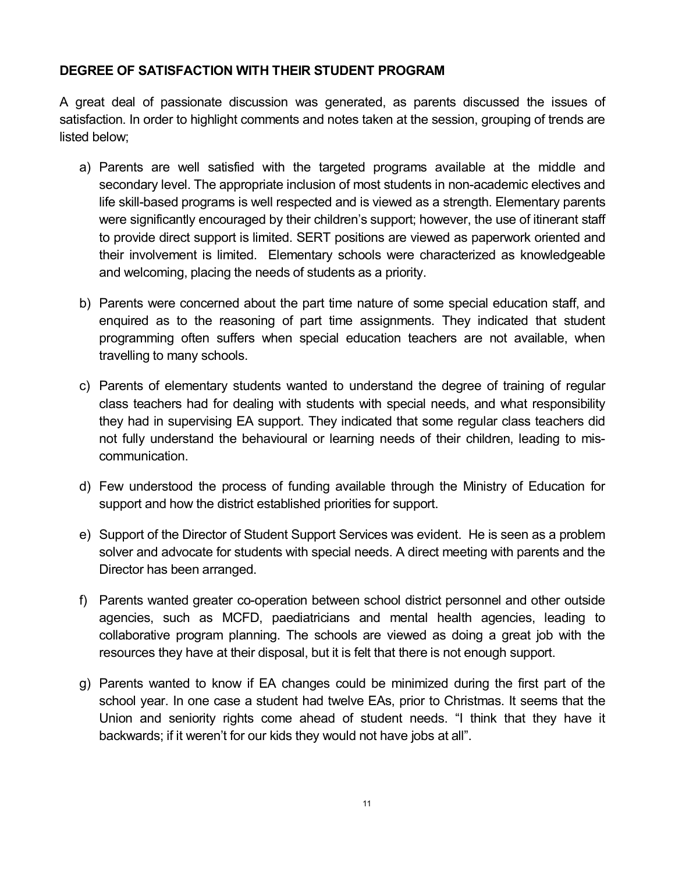#### **DEGREE OF SATISFACTION WITH THEIR STUDENT PROGRAM**

A great deal of passionate discussion was generated, as parents discussed the issues of satisfaction. In order to highlight comments and notes taken at the session, grouping of trends are listed below;

- a) Parents are well satisfied with the targeted programs available at the middle and secondary level. The appropriate inclusion of most students in non-academic electives and life skill-based programs is well respected and is viewed as a strength. Elementary parents were significantly encouraged by their children's support; however, the use of itinerant staff to provide direct support is limited. SERT positions are viewed as paperwork oriented and their involvement is limited. Elementary schools were characterized as knowledgeable and welcoming, placing the needs of students as a priority.
- b) Parents were concerned about the part time nature of some special education staff, and enquired as to the reasoning of part time assignments. They indicated that student programming often suffers when special education teachers are not available, when travelling to many schools.
- c) Parents of elementary students wanted to understand the degree of training of regular class teachers had for dealing with students with special needs, and what responsibility they had in supervising EA support. They indicated that some regular class teachers did not fully understand the behavioural or learning needs of their children, leading to mis communication.
- d) Few understood the process of funding available through the Ministry of Education for support and how the district established priorities for support.
- e) Support of the Director of Student Support Services was evident. He is seen as a problem solver and advocate for students with special needs. A direct meeting with parents and the Director has been arranged.
- f) Parents wanted greater co-operation between school district personnel and other outside agencies, such as MCFD, paediatricians and mental health agencies, leading to collaborative program planning. The schools are viewed as doing a great job with the resources they have at their disposal, but it is felt that there is not enough support.
- g) Parents wanted to know if EA changes could be minimized during the first part of the school year. In one case a student had twelve EAs, prior to Christmas. It seems that the Union and seniority rights come ahead of student needs. "I think that they have it backwards; if it weren't for our kids they would not have jobs at all".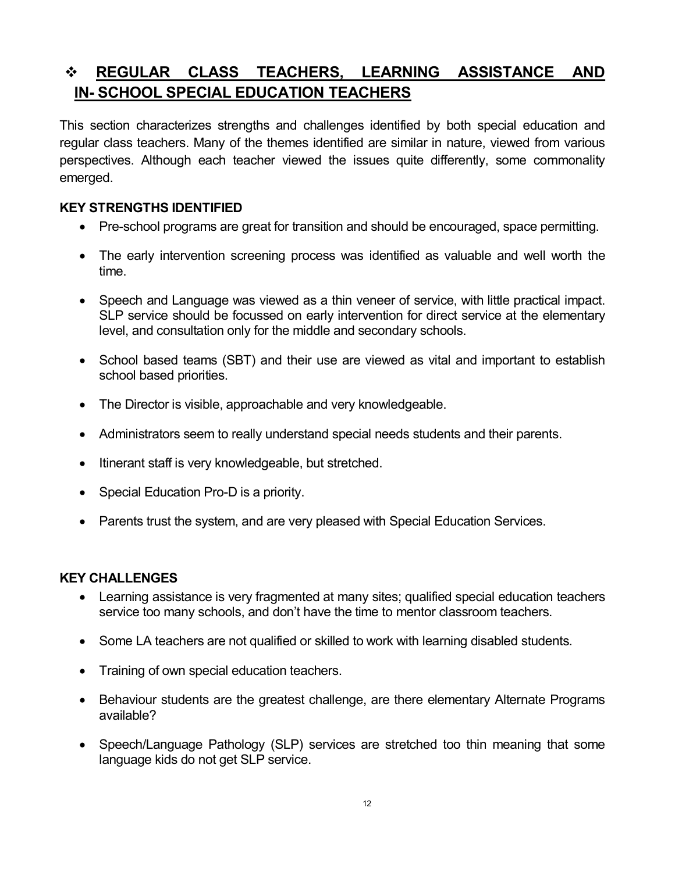# v **REGULAR CLASS TEACHERS, LEARNING ASSISTANCE AND IN SCHOOL SPECIAL EDUCATION TEACHERS**

This section characterizes strengths and challenges identified by both special education and regular class teachers. Many of the themes identified are similar in nature, viewed from various perspectives. Although each teacher viewed the issues quite differently, some commonality emerged.

#### **KEY STRENGTHS IDENTIFIED**

- Pre-school programs are great for transition and should be encouraged, space permitting.
- The early intervention screening process was identified as valuable and well worth the time.
- · Speech and Language was viewed as a thin veneer of service, with little practical impact. SLP service should be focussed on early intervention for direct service at the elementary level, and consultation only for the middle and secondary schools.
- School based teams (SBT) and their use are viewed as vital and important to establish school based priorities.
- The Director is visible, approachable and very knowledgeable.
- · Administrators seem to really understand special needs students and their parents.
- Itinerant staff is very knowledgeable, but stretched.
- Special Education Pro-D is a priority.
- · Parents trust the system, and are very pleased with Special Education Services.

#### **KEY CHALLENGES**

- · Learning assistance is very fragmented at many sites; qualified special education teachers service too many schools, and don't have the time to mentor classroom teachers.
- Some LA teachers are not qualified or skilled to work with learning disabled students.
- · Training of own special education teachers.
- · Behaviour students are the greatest challenge, are there elementary Alternate Programs available?
- · Speech/Language Pathology (SLP) services are stretched too thin meaning that some language kids do not get SLP service.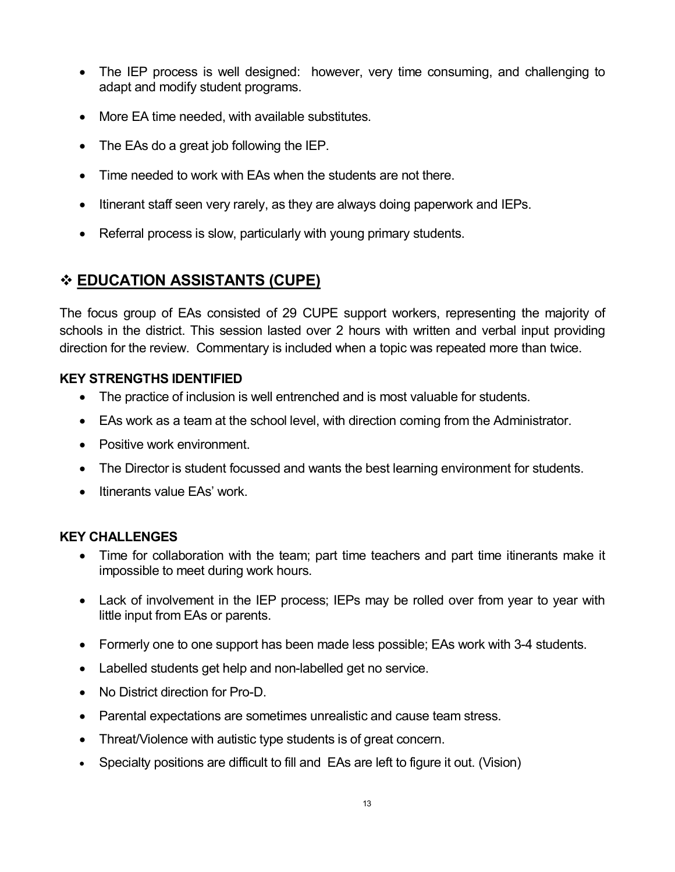- The IEP process is well designed: however, very time consuming, and challenging to adapt and modify student programs.
- · More EA time needed, with available substitutes.
- The EAs do a great job following the IEP.
- · Time needed to work with EAs when the students are not there.
- · Itinerant staff seen very rarely, as they are always doing paperwork and IEPs.
- Referral process is slow, particularly with young primary students.

# v **EDUCATION ASSISTANTS (CUPE)**

The focus group of EAs consisted of 29 CUPE support workers, representing the majority of schools in the district. This session lasted over 2 hours with written and verbal input providing direction for the review. Commentary is included when a topic was repeated more than twice.

#### **KEY STRENGTHS IDENTIFIED**

- · The practice of inclusion is well entrenched and is most valuable for students.
- EAs work as a team at the school level, with direction coming from the Administrator.
- Positive work environment.
- · The Director is student focussed and wants the best learning environment for students.
- Itinerants value EAs' work.

### **KEY CHALLENGES**

- Time for collaboration with the team; part time teachers and part time itinerants make it impossible to meet during work hours.
- Lack of involvement in the IEP process; IEPs may be rolled over from year to year with little input from EAs or parents.
- Formerly one to one support has been made less possible; EAs work with 3-4 students.
- Labelled students get help and non-labelled get no service.
- No District direction for Pro-D.
- · Parental expectations are sometimes unrealistic and cause team stress.
- Threat/Violence with autistic type students is of great concern.
- · Specialty positions are difficult to filland EAs are left to figure it out. (Vision)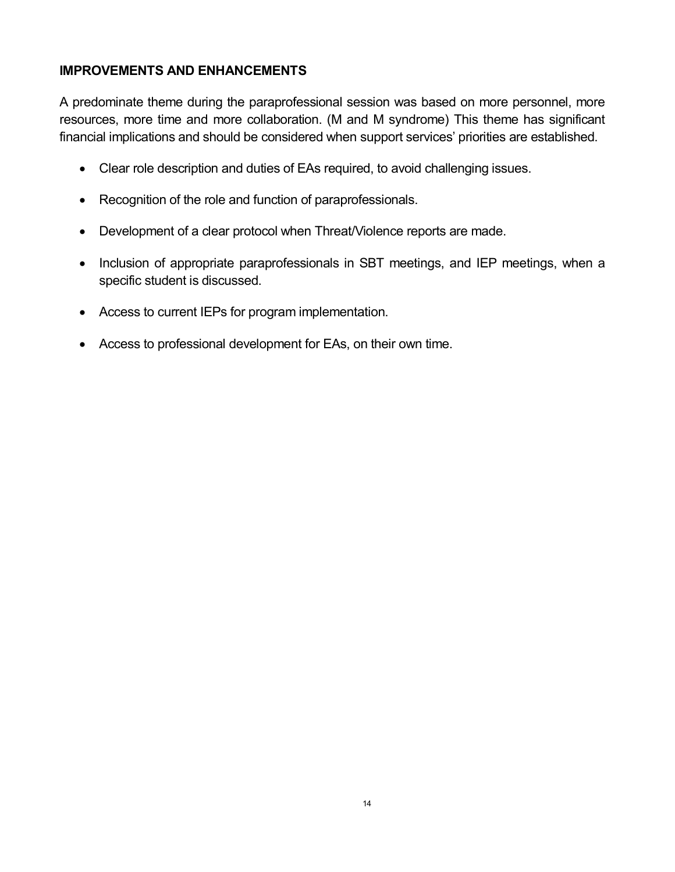#### **IMPROVEMENTS AND ENHANCEMENTS**

A predominate theme during the paraprofessional session was based on more personnel, more resources, more time and more collaboration. (M and M syndrome) This theme has significant financial implications and should be considered when support services' priorities are established.

- · Clear role description and duties of EAs required, to avoid challenging issues.
- · Recognition of the role and function of paraprofessionals.
- · Development of a clear protocol when Threat/Violence reports are made.
- · Inclusion of appropriate paraprofessionals in SBT meetings, and IEP meetings, when a specific student is discussed.
- · Access to current IEPs for program implementation.
- · Access to professional development for EAs, on their own time.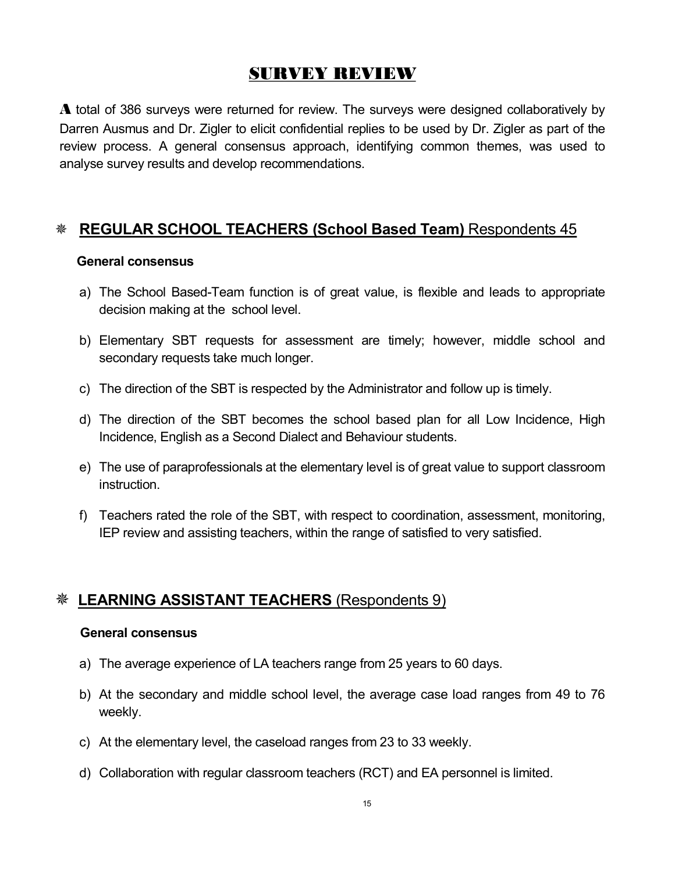# **SURVEY REVIEW**

**A** total of 386 surveys were returned for review. The surveys were designed collaboratively by Darren Ausmus and Dr. Zigler to elicit confidential replies to be used by Dr. Zigler as part of the review process. A general consensus approach, identifying common themes, was used to analyse survey results and develop recommendations.

# Ø **REGULAR SCHOOL TEACHERS (School Based Team)** Respondents 45

#### **General consensus**

- a) The School Based-Team function is of great value, is flexible and leads to appropriate decision making at the school level.
- b) Elementary SBT requests for assessment are timely; however, middle school and secondary requests take much longer.
- c) The direction of the SBT is respected by the Administrator and follow up is timely.
- d) The direction of the SBT becomes the school based plan for all Low Incidence, High Incidence, English as a Second Dialect and Behaviour students.
- e) The use of paraprofessionals at the elementary level is of great value to support classroom instruction.
- f) Teachers rated the role of the SBT, with respect to coordination, assessment, monitoring, IEP review and assisting teachers, within the range of satisfied to very satisfied.

### Ø **LEARNING ASSISTANT TEACHERS** (Respondents 9)

#### **General consensus**

- a) The average experience of LA teachers range from 25 years to 60 days.
- b) At the secondary and middle school level, the average case load ranges from 49 to 76 weekly.
- c) At the elementary level, the caseload ranges from 23 to 33 weekly.
- d) Collaboration with regular classroom teachers (RCT) and EA personnel is limited.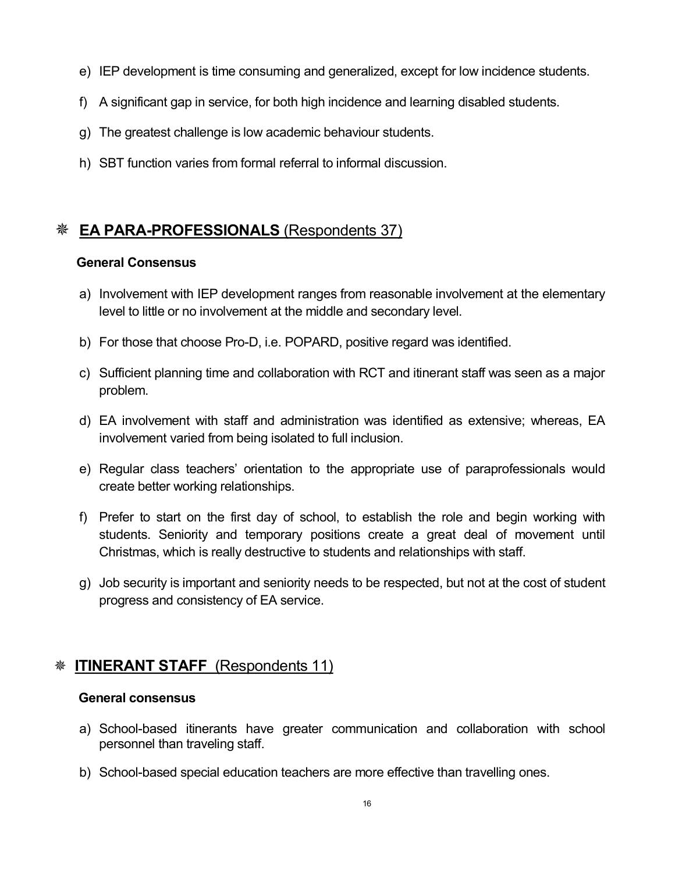- e) IEP development is time consuming and generalized, except for low incidence students.
- f) A significant gap in service, for both high incidence and learning disabled students.
- g) The greatest challenge is low academic behaviour students.
- h) SBT function varies from formal referral to informal discussion.

# **EA PARA-PROFESSIONALS** (Respondents 37)

#### **General Consensus**

- a) Involvement with IEP development ranges from reasonable involvement at the elementary level to little or no involvement at the middle and secondary level.
- b) For those that choose Pro-D, i.e. POPARD, positive regard was identified.
- c) Sufficient planning time and collaboration with RCT and itinerant staff was seen as a major problem.
- d) EA involvement with staff and administration was identified as extensive; whereas, EA involvement varied from being isolated to full inclusion.
- e) Regular class teachers' orientation to the appropriate use of paraprofessionals would create better working relationships.
- f) Prefer to start on the first day of school, to establish the role and begin working with students. Seniority and temporary positions create a great deal of movement until Christmas, which is really destructive to students and relationships with staff.
- g) Job security is important and seniority needs to be respected, but not at the cost of student progress and consistency of EA service.

# **ITINERANT STAFF** (Respondents 11)

#### **General consensus**

- a) School-based itinerants have greater communication and collaboration with school personnel than traveling staff.
- b) School-based special education teachers are more effective than travelling ones.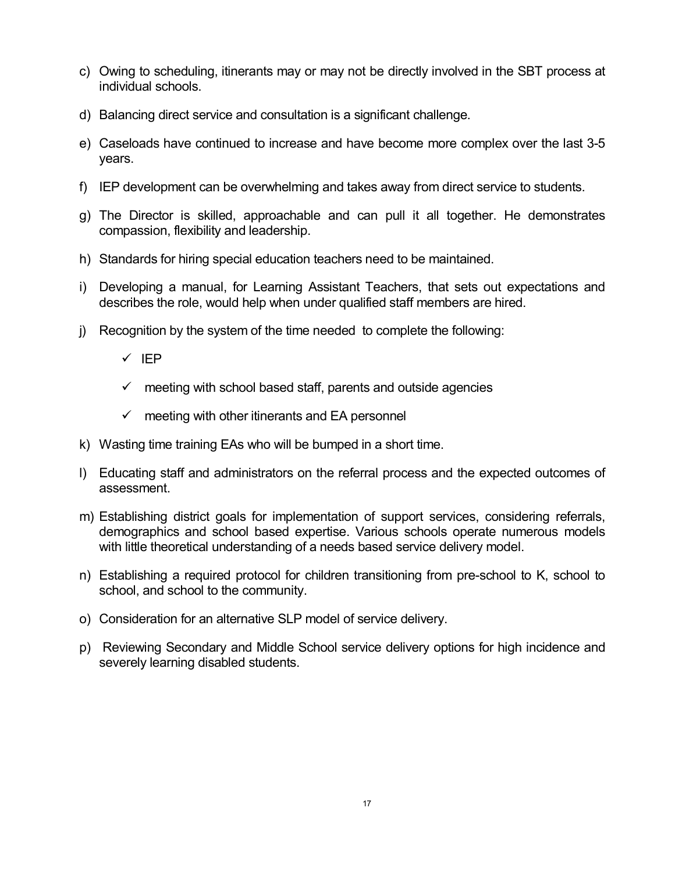- c) Owing to scheduling, itinerants may or may not be directly involved in the SBT process at individual schools.
- d) Balancing direct service and consultation is a significant challenge.
- e) Caseloads have continued to increase and have become more complex over the last 3-5 years.
- f) IEP development can be overwhelming and takes away from direct service to students.
- g) The Director is skilled, approachable and can pull it all together. He demonstrates compassion, flexibility and leadership.
- h) Standards for hiring special education teachers need to be maintained.
- i) Developing a manual, for Learning Assistant Teachers, that sets out expectations and describes the role, would help when under qualified staff members are hired.
- j) Recognition by the system of the time needed to complete the following:
	- $\checkmark$  IEP
	- $\checkmark$  meeting with school based staff, parents and outside agencies
	- $\checkmark$  meeting with other itinerants and EA personnel
- k) Wasting time training EAs who will be bumped in a short time.
- l) Educating staff and administrators on the referral process and the expected outcomes of assessment.
- m) Establishing district goals for implementation of support services, considering referrals, demographics and school based expertise. Various schools operate numerous models with little theoretical understanding of a needs based service delivery model.
- n) Establishing a required protocol for children transitioning from pre-school to K, school to school, and school to the community.
- o) Consideration for an alternative SLP model of service delivery.
- p) Reviewing Secondary and Middle School service delivery options for high incidence and severely learning disabled students.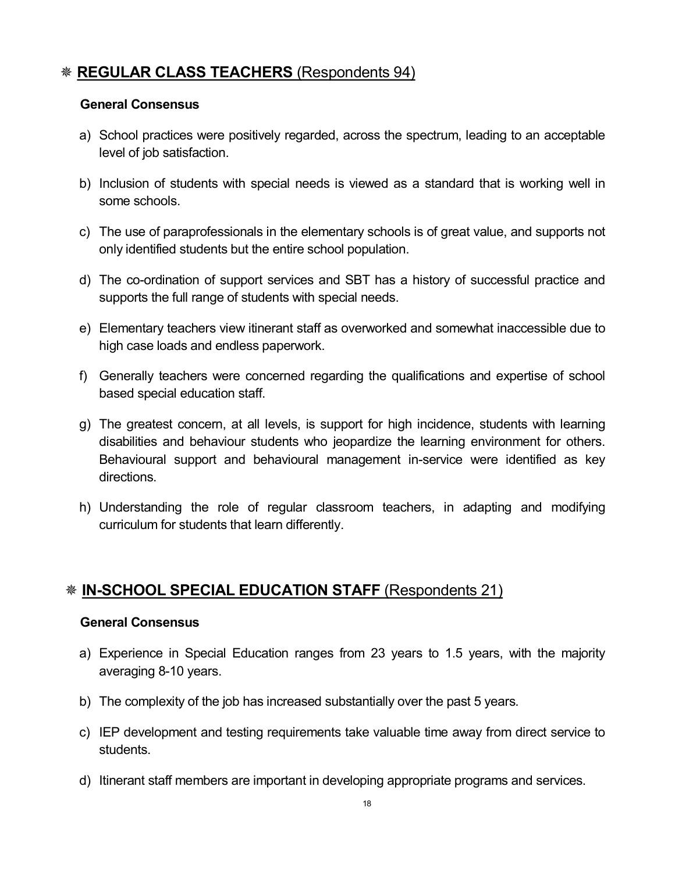# Ø **REGULAR CLASS TEACHERS** (Respondents 94)

#### **General Consensus**

- a) School practices were positively regarded, across the spectrum, leading to an acceptable level of job satisfaction.
- b) Inclusion of students with special needs is viewed as a standard that is working well in some schools.
- c) The use of paraprofessionals in the elementary schools is of great value, and supports not only identified students but the entire school population.
- d) The co-ordination of support services and SBT has a history of successful practice and supports the full range of students with special needs.
- e) Elementary teachers view itinerant staff as overworked and somewhat inaccessible due to high case loads and endless paperwork.
- f) Generally teachers were concerned regarding the qualifications and expertise of school based special education staff.
- g) The greatest concern, at all levels, is support for high incidence, students with learning disabilities and behaviour students who jeopardize the learning environment for others. Behavioural support and behavioural management in-service were identified as key directions.
- h) Understanding the role of regular classroom teachers, in adapting and modifying curriculum for students that learn differently.

# Ø **INSCHOOL SPECIAL EDUCATION STAFF** (Respondents 21)

#### **General Consensus**

- a) Experience in Special Education ranges from 23 years to 1.5 years, with the majority averaging 8-10 years.
- b) The complexity of the job has increased substantially over the past 5 years.
- c) IEP development and testing requirements take valuable time away from direct service to students.
- d) Itinerant staff members are important in developing appropriate programs and services.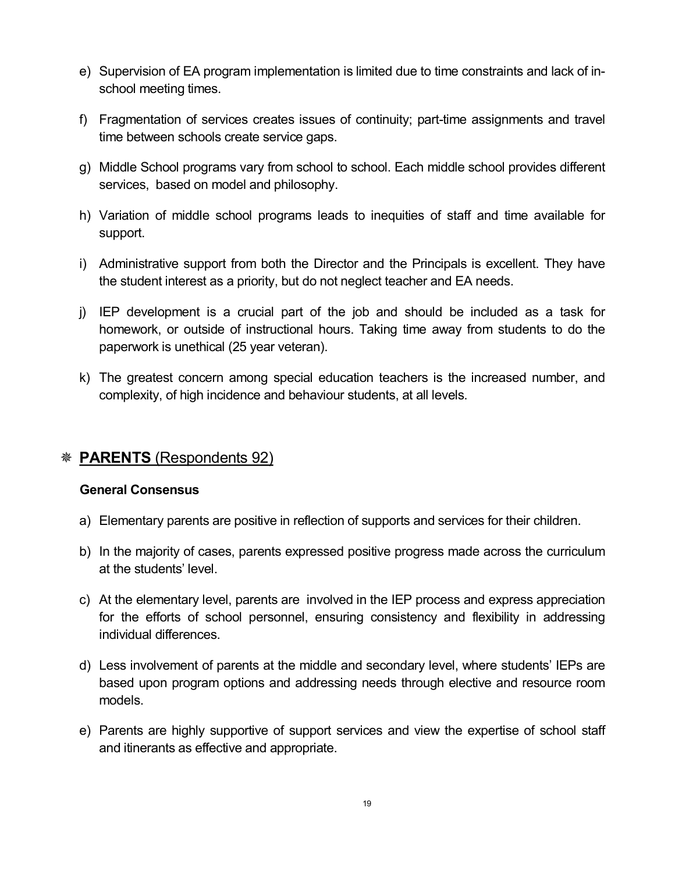- e) Supervision of EA program implementation is limited due to time constraints and lack of in school meeting times.
- f) Fragmentation of services creates issues of continuity; part-time assignments and travel time between schools create service gaps.
- g) Middle School programs vary from school to school. Each middle school provides different services, based on model and philosophy.
- h) Variation of middle school programs leads to inequities of staff and time available for support.
- i) Administrative support from both the Director and the Principals is excellent. They have the student interest as a priority, but do not neglect teacher and EA needs.
- j) IEP development is a crucial part of the job and should be included as a task for homework, or outside of instructional hours. Taking time away from students to do the paperwork is unethical (25 year veteran).
- k) The greatest concern among special education teachers is the increased number, and complexity, of high incidence and behaviour students, at all levels.

# Ø **PARENTS** (Respondents 92)

#### **General Consensus**

- a) Elementary parents are positive in reflection of supports and services for their children.
- b) In the majority of cases, parents expressed positive progress made across the curriculum at the students' level.
- c) At the elementary level, parents are involved in the IEP process and express appreciation for the efforts of school personnel, ensuring consistency and flexibility in addressing individual differences.
- d) Less involvement of parents at the middle and secondary level, where students' IEPs are based upon program options and addressing needs through elective and resource room models.
- e) Parents are highly supportive of support services and view the expertise of school staff and itinerants as effective and appropriate.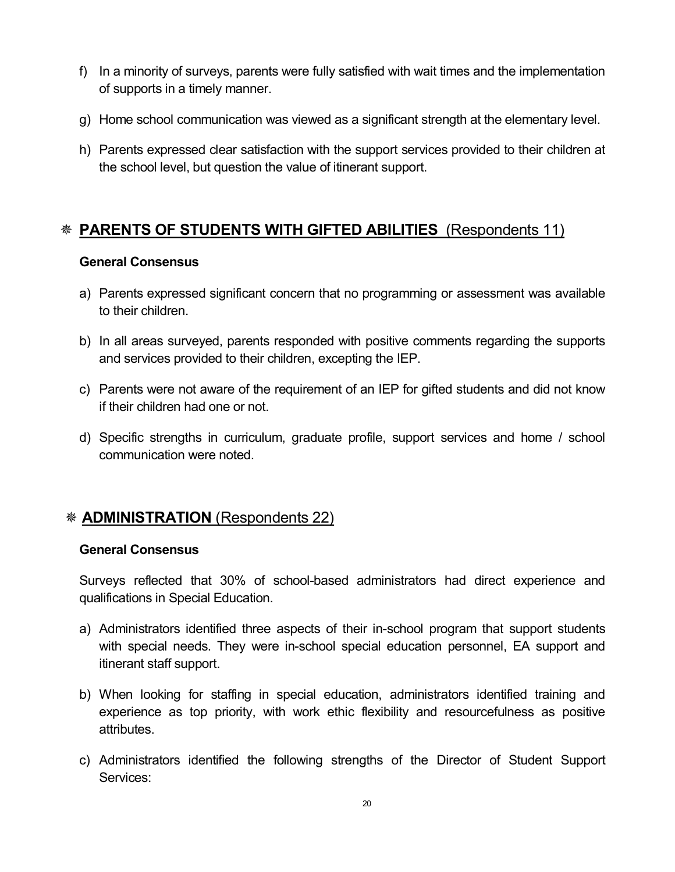- f) In a minority of surveys, parents were fully satisfied with wait times and the implementation of supports in a timely manner.
- g) Home school communication was viewed as a significant strength at the elementary level.
- h) Parents expressed clear satisfaction with the support services provided to their children at the school level, but question the value of itinerant support.

# Ø **PARENTS OF STUDENTS WITH GIFTED ABILITIES** (Respondents 11)

#### **General Consensus**

- a) Parents expressed significant concern that no programming or assessment was available to their children.
- b) In all areas surveyed, parents responded with positive comments regarding the supports and services provided to their children, excepting the IEP.
- c) Parents were not aware of the requirement of an IEP for gifted students and did not know if their children had one or not.
- d) Specific strengths in curriculum, graduate profile, support services and home / school communication were noted.

### Ø **ADMINISTRATION** (Respondents 22)

#### **General Consensus**

Surveys reflected that 30% of school-based administrators had direct experience and qualifications in Special Education.

- a) Administrators identified three aspects of their in-school program that support students with special needs. They were in-school special education personnel, EA support and itinerant staff support.
- b) When looking for staffing in special education, administrators identified training and experience as top priority, with work ethic flexibility and resourcefulness as positive attributes.
- c) Administrators identified the following strengths of the Director of Student Support Services: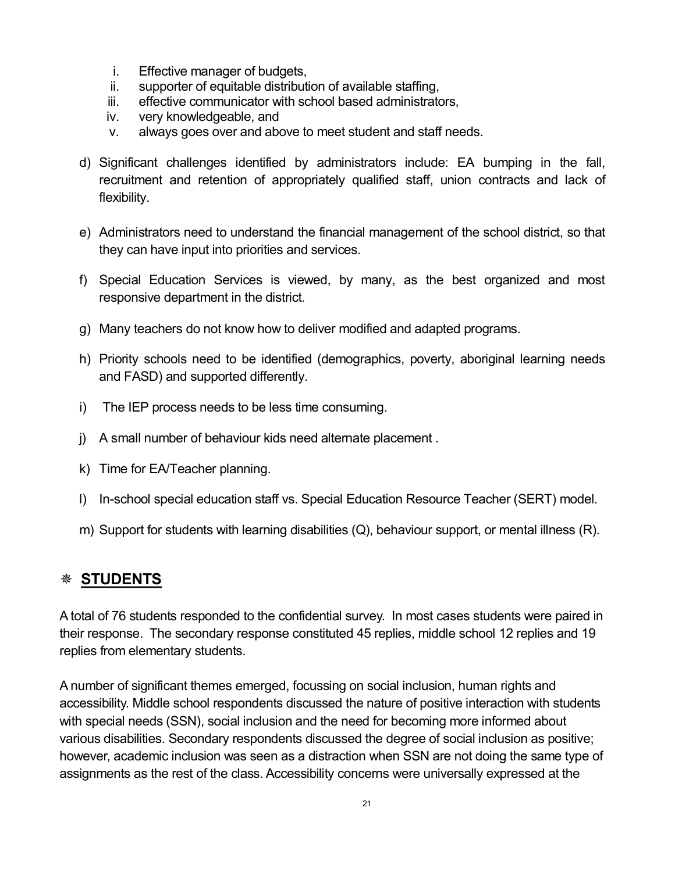- i. Effective manager of budgets,
- ii. supporter of equitable distribution of available staffing.
- iii. effective communicator with school based administrators,
- iv. very knowledgeable, and
- v. always goes over and above to meet student and staff needs.
- d) Significant challenges identified by administrators include: EA bumping in the fall, recruitment and retention of appropriately qualified staff, union contracts and lack of flexibility.
- e) Administrators need to understand the financial management of the school district, so that they can have input into priorities and services.
- f) Special Education Services is viewed, by many, as the best organized and most responsive department in the district.
- g) Many teachers do not know how to deliver modified and adapted programs.
- h) Priority schools need to be identified (demographics, poverty, aboriginal learning needs and FASD) and supported differently.
- i) The IEP process needs to be less time consuming.
- j) A small number of behaviour kids need alternate placement .
- k) Time for EA/Teacher planning.
- I) In-school special education staff vs. Special Education Resource Teacher (SERT) model.
- m) Support for students with learning disabilities (Q), behaviour support, or mental illness (R).

### Ø **STUDENTS**

A total of 76 students responded to the confidential survey. In most cases students were paired in their response. The secondary response constituted 45 replies, middle school 12 replies and 19 replies from elementary students.

A number of significant themes emerged, focussing on social inclusion, human rights and accessibility. Middle school respondents discussed the nature of positive interaction with students with special needs (SSN), social inclusion and the need for becoming more informed about various disabilities. Secondary respondents discussed the degree of social inclusion as positive; however, academic inclusion was seen as a distraction when SSN are not doing the same type of assignments as the rest of the class. Accessibility concerns were universally expressed at the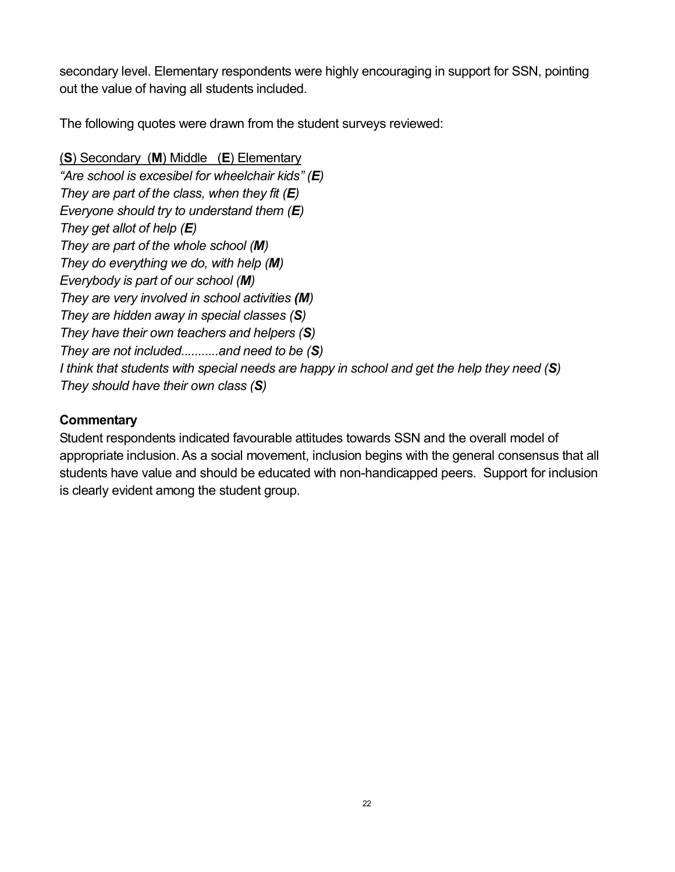secondary level. Elementary respondents were highly encouraging in support for SSN, pointing out the value of having all students included.

The following quotes were drawn from the student surveys reviewed:

(**S**) Secondary (**M**) Middle (**E**) Elementary *"Are school is excesibel for wheelchair kids" (E) They are part of the class, when they fit (E) Everyone should try to understand them (E) They get allot of help (E) They are part of the whole school (M) They do everything we do, with help (M) Everybody is part of our school (M) They are very involved in school activities (M) They are hidden away in special classes (S) They have their own teachers and helpers (S) They are not included...........and need to be (S)* I think that students with special needs are happy in school and get the help they need (S) *They should have their own class (S)*

#### **Commentary**

Student respondents indicated favourable attitudes towards SSN and the overall model of appropriate inclusion. As a social movement, inclusion begins with the general consensus that all students have value and should be educated with non-handicapped peers. Support for inclusion is clearly evident among the student group.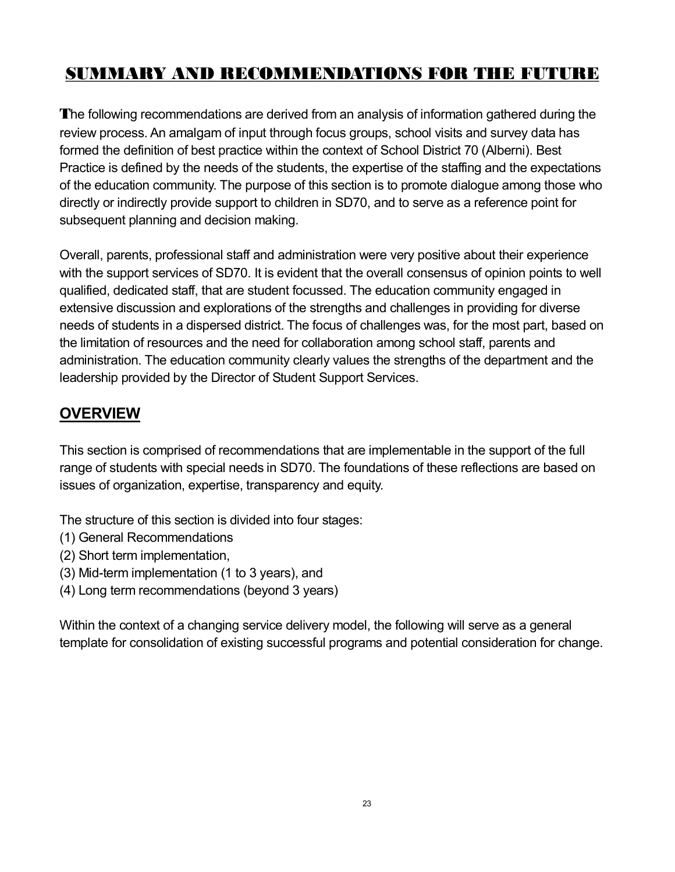# **SUMMARY AND RECOMMENDATIONS FOR THE FUTURE**

**T**he following recommendations are derived from an analysis of information gathered during the review process. An amalgam of input through focus groups, school visits and survey data has formed the definition of best practice within the context of School District 70 (Alberni). Best Practice is defined by the needs of the students, the expertise of the staffing and the expectations of the education community. The purpose of this section is to promote dialogue among those who directly or indirectly provide support to children in SD70, and to serve as a reference point for subsequent planning and decision making.

Overall, parents, professional staff and administration were very positive about their experience with the support services of SD70. It is evident that the overall consensus of opinion points to well qualified, dedicated staff, that are student focussed. The education community engaged in extensive discussion and explorations of the strengths and challenges in providing for diverse needs of students in a dispersed district. The focus of challenges was, for the most part, based on the limitation of resources and the need for collaboration among school staff, parents and administration. The education community clearly values the strengths of the department and the leadership provided by the Director of Student Support Services.

# **OVERVIEW**

This section is comprised of recommendations that are implementable in the support of the full range of students with special needs in SD70. The foundations of these reflections are based on issues of organization, expertise, transparency and equity.

The structure of this section is divided into four stages:

- (1) General Recommendations
- (2) Short term implementation,
- $(3)$  Mid-term implementation  $(1$  to 3 years), and
- (4) Long term recommendations (beyond 3 years)

Within the context of a changing service delivery model, the following will serve as a general template for consolidation of existing successful programs and potential consideration for change.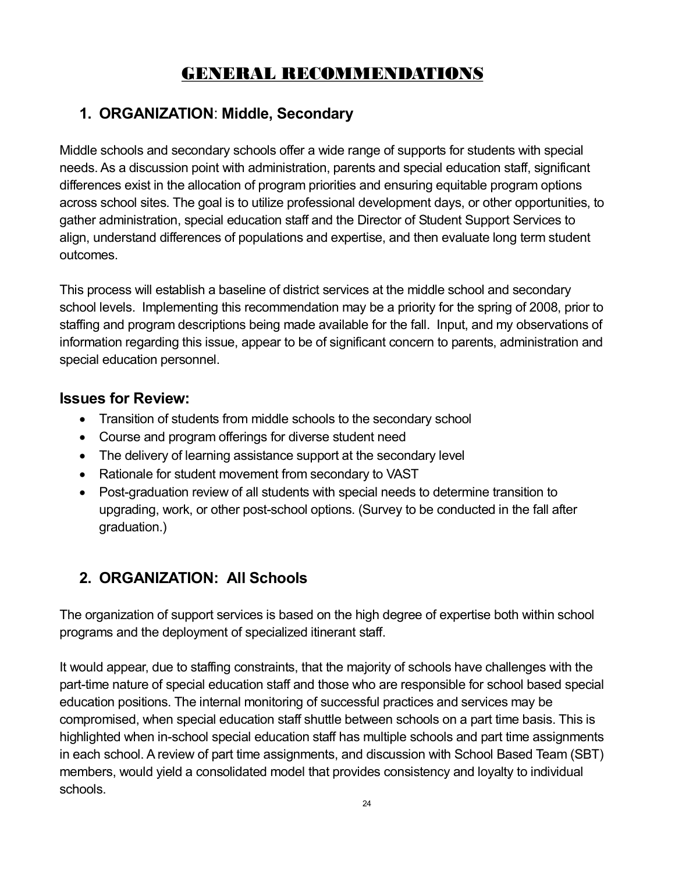# **GENERAL RECOMMENDATIONS**

# **1. ORGANIZATION**: **Middle, Secondary**

Middle schools and secondary schools offer a wide range of supports for students with special needs. As a discussion point with administration, parents and special education staff, significant differences exist in the allocation of program priorities and ensuring equitable program options across school sites. The goal is to utilize professional development days, or other opportunities, to gather administration, special education staff and the Director of Student Support Services to align, understand differences of populations and expertise, and then evaluate long term student outcomes.

This process will establish a baseline of district services at the middle school and secondary school levels. Implementing this recommendation may be a priority for the spring of 2008, prior to staffing and program descriptions being made available for the fall. Input, and my observations of information regarding this issue, appear to be of significant concern to parents, administration and special education personnel.

# **Issues for Review:**

- · Transition of students from middle schools to the secondary school
- · Course and program offerings for diverse student need
- The delivery of learning assistance support at the secondary level
- · Rationale for student movement from secondary to VAST
- Post-graduation review of all students with special needs to determine transition to upgrading, work, or other post-school options. (Survey to be conducted in the fall after graduation.)

# **2. ORGANIZATION: All Schools**

The organization of support services is based on the high degree of expertise both within school programs and the deployment of specialized itinerant staff.

It would appear, due to staffing constraints, that the majority of schools have challenges with the part-time nature of special education staff and those who are responsible for school based special education positions. The internal monitoring of successful practices and services may be compromised, when special education staff shuttle between schools on a part time basis. This is highlighted when in-school special education staff has multiple schools and part time assignments in each school. A review of part time assignments, and discussion with School Based Team (SBT) members, would yield a consolidated model that provides consistency and loyalty to individual schools.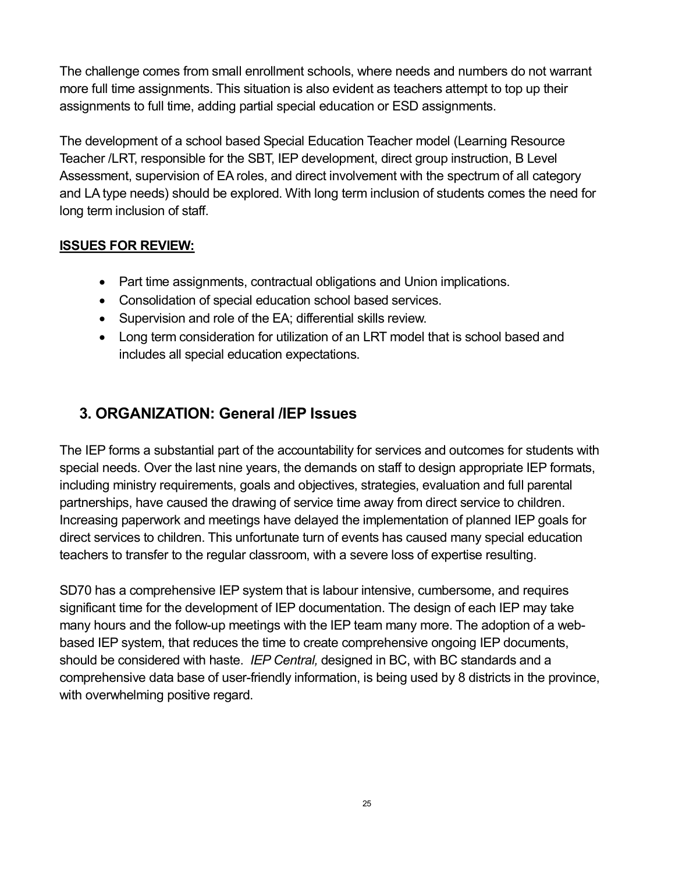The challenge comes from small enrollment schools, where needs and numbers do not warrant more full time assignments. This situation is also evident as teachers attempt to top up their assignments to full time, adding partial special education or ESD assignments.

The development of a school based Special Education Teacher model (Learning Resource Teacher /LRT, responsible for the SBT, IEP development, direct group instruction, B Level Assessment, supervision of EA roles, and direct involvement with the spectrum of all category and LA type needs) should be explored. With long term inclusion of students comes the need for long term inclusion of staff.

#### **ISSUES FOR REVIEW:**

- · Part time assignments, contractual obligations and Union implications.
- · Consolidation of special education school based services.
- · Supervision and role of the EA; differential skills review.
- · Long term consideration for utilization of an LRT model that is school based and includes all special education expectations.

# **3. ORGANIZATION: General /IEP Issues**

The IEP forms a substantial part of the accountability for services and outcomes for students with special needs. Over the last nine years, the demands on staff to design appropriate IEP formats, including ministry requirements, goals and objectives, strategies, evaluation and full parental partnerships, have caused the drawing of service time away from direct service to children. Increasing paperwork and meetings have delayed the implementation of planned IEP goals for direct services to children. This unfortunate turn of events has caused many special education teachers to transfer to the regular classroom, with a severe loss of expertise resulting.

SD70 has a comprehensive IEP system that is labour intensive, cumbersome, and requires significant time for the development of IEP documentation. The design of each IEP may take many hours and the follow-up meetings with the IEP team many more. The adoption of a webbased IEP system, that reduces the time to create comprehensive ongoing IEP documents, should be considered with haste. *IEP Central,* designed in BC, with BC standards and a comprehensive data base of user-friendly information, is being used by 8 districts in the province, with overwhelming positive regard.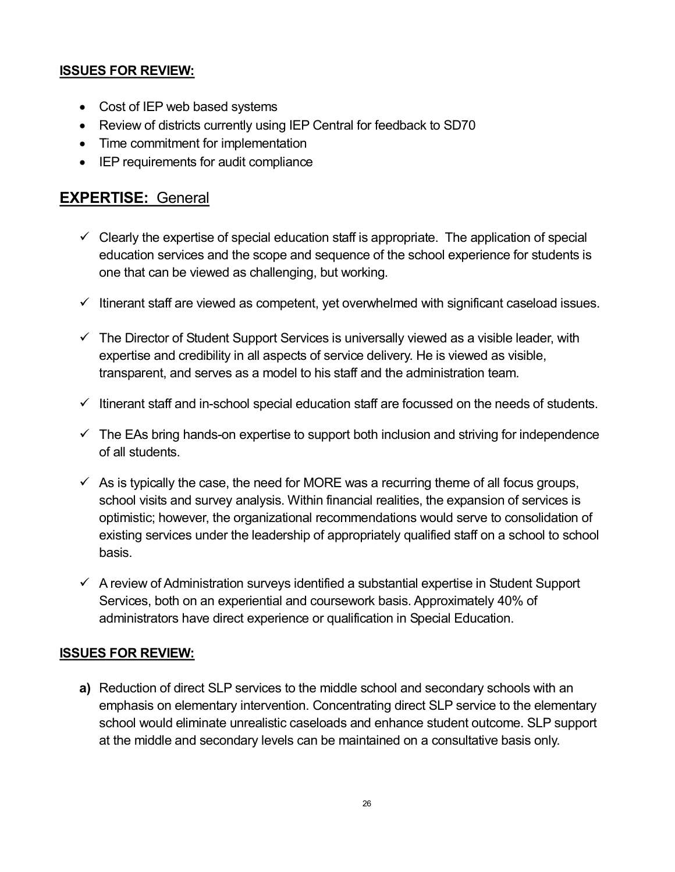#### **ISSUES FOR REVIEW:**

- · Cost of IEP web based systems
- · Review of districts currently using IEP Central for feedback to SD70
- · Time commitment for implementation
- · IEP requirements for audit compliance

# **EXPERTISE:** General

- $\checkmark$  Clearly the expertise of special education staff is appropriate. The application of special education services and the scope and sequence of the school experience for students is one that can be viewed as challenging, but working.
- $\checkmark$  Itinerant staff are viewed as competent, yet overwhelmed with significant caseload issues.
- $\checkmark$  The Director of Student Support Services is universally viewed as a visible leader, with expertise and credibility in all aspects of service delivery. He is viewed as visible, transparent, and serves as a model to his staff and the administration team.
- $\checkmark$  Itinerant staff and in-school special education staff are focussed on the needs of students.
- $\checkmark$  The EAs bring hands-on expertise to support both inclusion and striving for independence of all students.
- $\checkmark$  As is typically the case, the need for MORE was a recurring theme of all focus groups, school visits and survey analysis. Within financial realities, the expansion of services is optimistic; however, the organizational recommendations would serve to consolidation of existing services under the leadership of appropriately qualified staff on a school to school basis.
- $\checkmark$  A review of Administration surveys identified a substantial expertise in Student Support Services, both on an experiential and coursework basis. Approximately 40% of administrators have direct experience or qualification in Special Education.

#### **ISSUES FOR REVIEW:**

**a)** Reduction of direct SLP services to the middle school and secondary schools with an emphasis on elementary intervention. Concentrating direct SLP service to the elementary school would eliminate unrealistic caseloads and enhance student outcome. SLP support at the middle and secondary levels can be maintained on a consultative basis only.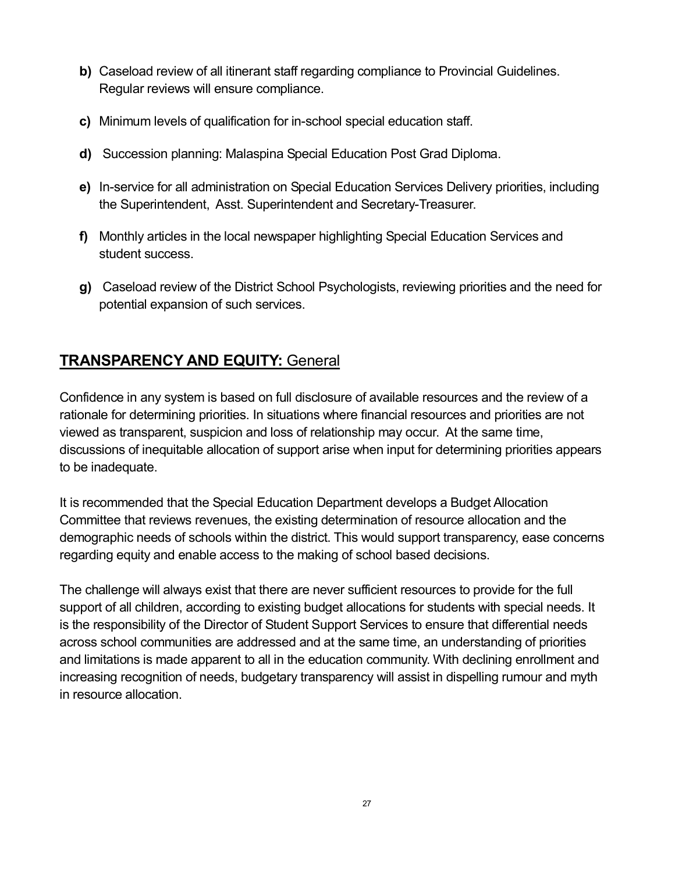- **b)** Caseload review of all itinerant staff regarding compliance to Provincial Guidelines. Regular reviews will ensure compliance.
- **c)** Minimum levels of qualification for in-school special education staff.
- **d)** Succession planning: Malaspina Special Education Post Grad Diploma.
- **e)** In-service for all administration on Special Education Services Delivery priorities, including the Superintendent, Asst. Superintendent and Secretary-Treasurer.
- **f)** Monthly articles in the local newspaper highlighting Special Education Services and student success.
- **g)** Caseload review of the District School Psychologists, reviewing priorities and the need for potential expansion of such services.

# **TRANSPARENCY AND EQUITY:** General

Confidence in any system is based on full disclosure of available resources and the review of a rationale for determining priorities. In situations where financial resources and priorities are not viewed as transparent, suspicion and loss of relationship may occur. At the same time, discussions of inequitable allocation of support arise when input for determining priorities appears to be inadequate.

It is recommended that the Special Education Department develops a Budget Allocation Committee that reviews revenues, the existing determination of resource allocation and the demographic needs of schools within the district. This would support transparency, ease concerns regarding equity and enable access to the making of school based decisions.

The challenge will always exist that there are never sufficient resources to provide for the full support of all children, according to existing budget allocations for students with special needs. It is the responsibility of the Director of Student Support Services to ensure that differential needs across school communities are addressed and at the same time, an understanding of priorities and limitations is made apparent to all in the education community. With declining enrollment and increasing recognition of needs, budgetary transparency will assist in dispelling rumour and myth in resource allocation.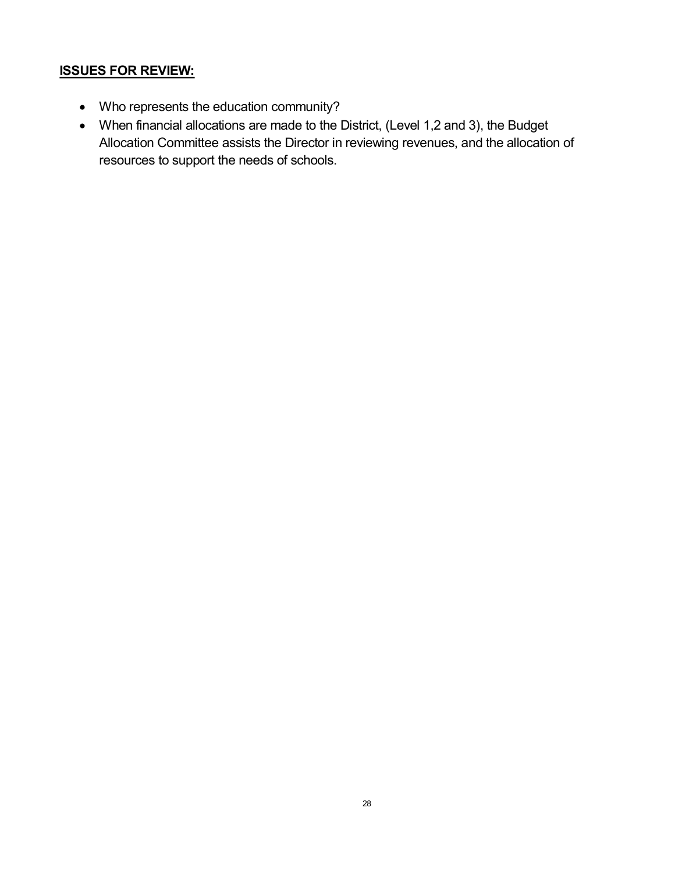#### **ISSUES FOR REVIEW:**

- · Who represents the education community?
- · When financial allocations are made to the District, (Level 1,2 and 3), the Budget Allocation Committee assists the Director in reviewing revenues, and the allocation of resources to support the needs of schools.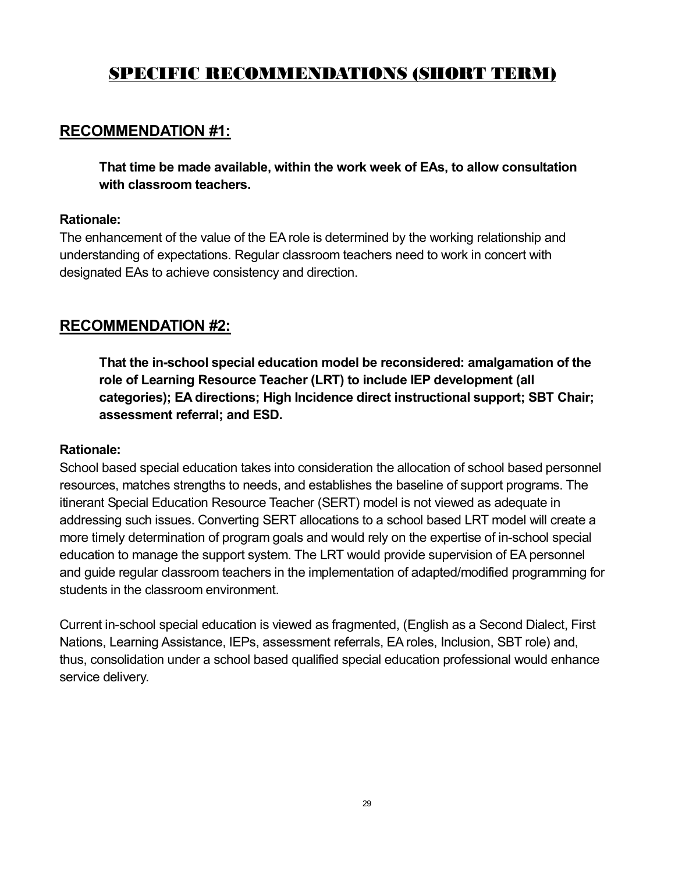# **SPECIFIC RECOMMENDATIONS (SHORT TERM)**

# **RECOMMENDATION #1:**

**That time be made available, within the work week of EAs, to allow consultation with classroom teachers.** 

#### **Rationale:**

The enhancement of the value of the EA role is determined by the working relationship and understanding of expectations. Regular classroom teachers need to work in concert with designated EAs to achieve consistency and direction.

# **RECOMMENDATION #2:**

**That the inschool special education model be reconsidered: amalgamation of the role of Learning Resource Teacher (LRT) to include IEP development (all categories); EA directions; High Incidence direct instructional support; SBT Chair; assessment referral; and ESD.** 

#### **Rationale:**

School based special education takes into consideration the allocation of school based personnel resources, matches strengths to needs, and establishes the baseline of support programs. The itinerant Special Education Resource Teacher (SERT) model is not viewed as adequate in addressing such issues. Converting SERT allocations to a school based LRT model will create a more timely determination of program goals and would rely on the expertise of in-school special education to manage the support system. The LRT would provide supervision of EA personnel and guide regular classroom teachers in the implementation of adapted/modified programming for students in the classroom environment.

Current in-school special education is viewed as fragmented, (English as a Second Dialect, First Nations, Learning Assistance, IEPs, assessment referrals, EA roles, Inclusion, SBT role) and, thus, consolidation under a school based qualified special education professional would enhance service delivery.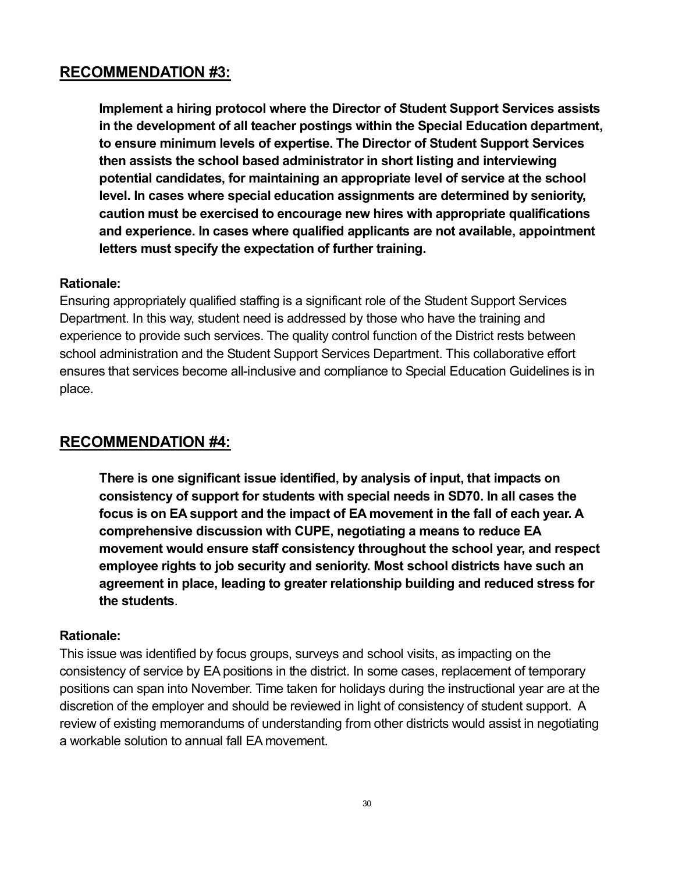**Implement a hiring protocol where the Director of Student Support Services assists in the development of all teacher postings within the Special Education department, to ensure minimum levels of expertise. The Director of Student Support Services then assists the school based administrator in short listing and interviewing potential candidates, for maintaining an appropriate level of service at the school level. In cases where special education assignments are determined by seniority, caution must be exercised to encourage new hires with appropriate qualifications and experience. In cases where qualified applicants are not available, appointment letters must specify the expectation of further training.** 

#### **Rationale:**

Ensuring appropriately qualified staffing is a significant role of the Student Support Services Department. In this way, student need is addressed by those who have the training and experience to provide such services. The quality control function of the District rests between school administration and the Student Support Services Department. This collaborative effort ensures that services become all-inclusive and compliance to Special Education Guidelines is in place.

### **RECOMMENDATION #4:**

**There is one significant issue identified, by analysis of input, that impacts on consistency of support for students with special needs in SD70. In all cases the focus is on EA support and the impact of EA movement in the fall of each year. A comprehensive discussion with CUPE, negotiating a means to reduce EA movement would ensure staff consistency throughout the school year, and respect employee rights to job security and seniority. Most school districts have such an agreement in place, leading to greater relationship building and reduced stress for the students**.

#### **Rationale:**

This issue was identified by focus groups, surveys and school visits, as impacting on the consistency of service by EA positions in the district. In some cases, replacement of temporary positions can span into November. Time taken for holidays during the instructional year are at the discretion of the employer and should be reviewed in light of consistency of student support. A review of existing memorandums of understanding from other districts would assist in negotiating a workable solution to annual fall EA movement.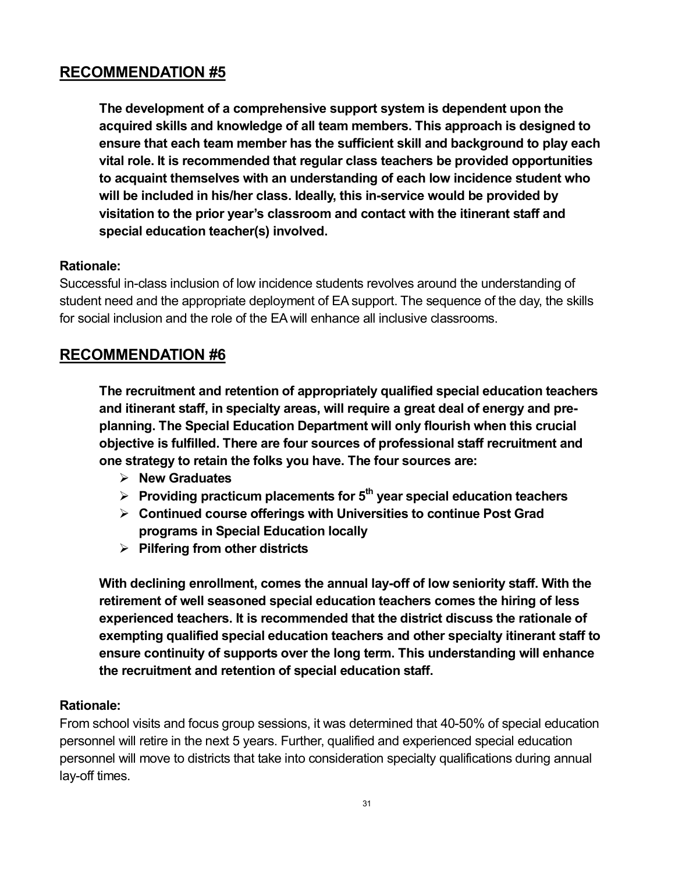**The development of a comprehensive support system isdependent upon the acquired skills and knowledge of all team members. This approach is designed to ensure that each team member has the sufficient skill and background to play each vital role. It is recommended that regular class teachers be provided opportunities to acquaint themselves with an understanding of each low incidence student who will be included in his/her class. Ideally, this inservice would be provided by visitation to the prior year's classroom and contact with the itinerant staff and special education teacher(s) involved.** 

#### **Rationale:**

Successful in-class inclusion of low incidence students revolves around the understanding of student need and the appropriate deployment of EA support. The sequence of the day, the skills for social inclusion and the role of the EA will enhance all inclusive classrooms.

# **RECOMMENDATION #6**

**The recruitment and retention of appropriately qualified special education teachers and itinerant staff, in specialty areas, will require a great deal of energy and pre planning. The Special Education Department will only flourish when this crucial objective is fulfilled. There are four sources of professional staff recruitment and one strategy to retain the folks you have. The four sources are:**

- ÿ **New Graduates**
- ÿ **Providing practicum placements for 5 th year special education teachers**
- ÿ **Continued course offerings with Universities to continue Post Grad programs in Special Education locally**
- ÿ **Pilfering from other districts**

**With declining enrollment, comes the annual layoff of low seniority staff. With the retirement of well seasoned special education teachers comes the hiring of less experienced teachers. It is recommended that the district discuss the rationale of exempting qualified special education teachers and other specialty itinerant staff to ensure continuity of supports over the long term. This understanding will enhance the recruitment and retention of special education staff.** 

#### **Rationale:**

From school visits and focus group sessions, it was determined that 4050% of special education personnel will retire in the next 5 years. Further, qualified and experienced special education personnel will move to districts that take into consideration specialty qualifications during annual lay-off times.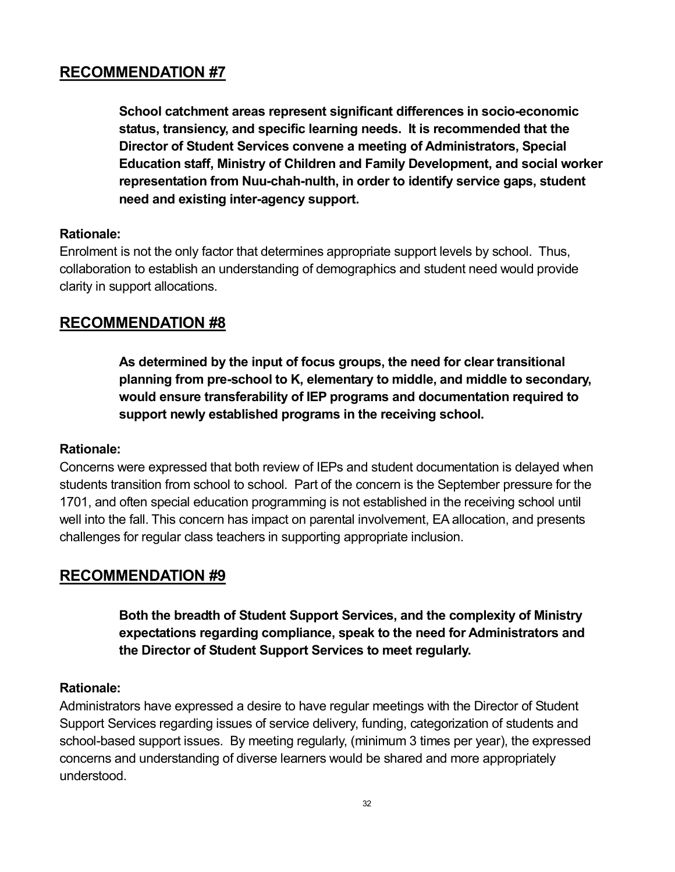**School catchment areas represent significant differences in socioeconomic status, transiency, and specific learning needs. It is recommended that the Director of Student Services convene a meeting of Administrators, Special Education staff, Ministry of Children and Family Development, and social worker representation from Nuuchahnulth, in order to identify service gaps, student need and existing interagency support.** 

#### **Rationale:**

Enrolment is not the only factor that determines appropriate support levels by school. Thus, collaboration to establish an understanding of demographics and student need would provide clarity in support allocations.

# **RECOMMENDATION #8**

**As determined by the input of focus groups, the need for clear transitional planning from preschool to K, elementary to middle, and middle to secondary, would ensure transferability of IEP programs and documentation required to support newly established programs in the receiving school.** 

#### **Rationale:**

Concerns were expressed that both review of IEPs and student documentation is delayed when students transition from school to school. Part of the concern is the September pressure for the 1701, and often special education programming is not established in the receiving school until well into the fall. This concern has impact on parental involvement, EA allocation, and presents challenges for regular class teachers in supporting appropriate inclusion.

# **RECOMMENDATION #9**

**Both the breadth of Student Support Services, and the complexity of Ministry expectations regarding compliance, speak to the need for Administrators and the Director of Student Support Services to meet regularly.** 

#### **Rationale:**

Administrators have expressed a desire to have regular meetings with the Director of Student Support Services regarding issues of service delivery, funding, categorization of students and school-based support issues. By meeting regularly, (minimum 3 times per year), the expressed concerns and understanding of diverse learners would be shared and more appropriately understood.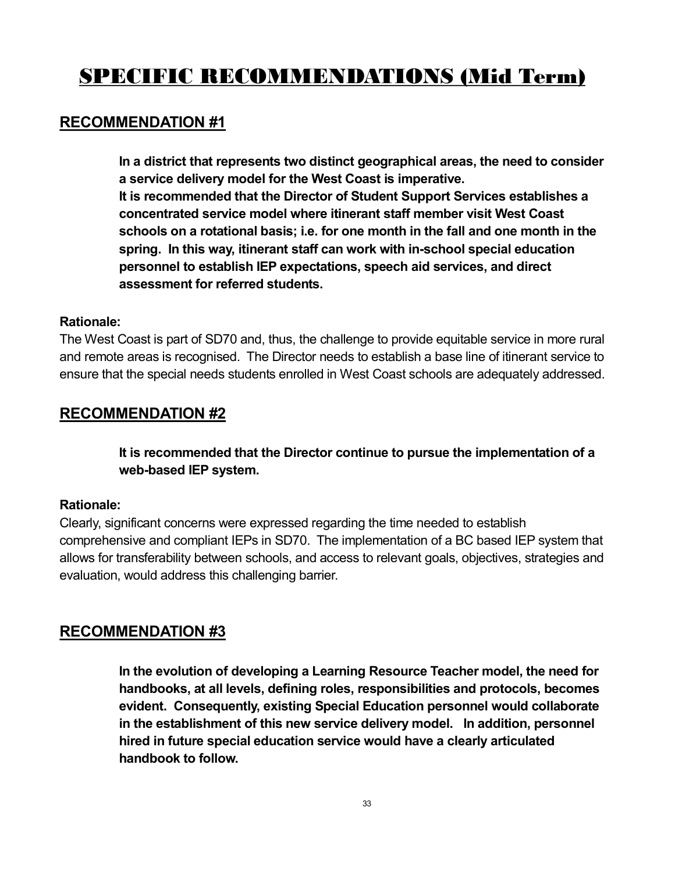# **SPECIFIC RECOMMENDATIONS (Mid Term)**

### **RECOMMENDATION #1**

**In a district that represents two distinct geographical areas, the need to consider a service delivery model for the West Coast is imperative. It is recommended that the Director of Student Support Services establishes a concentrated service model where itinerant staff member visit West Coast schools on a rotational basis; i.e. for one month in the fall and one month in the spring. In this way, itinerant staff can work with inschool special education personnel to establish IEP expectations, speech aid services, and direct assessment for referred students.** 

#### **Rationale:**

The West Coast is part of SD70 and, thus, the challenge to provide equitable service in more rural and remote areas is recognised. The Director needs to establish a base line of itinerant service to ensure that the special needs students enrolled in West Coast schools are adequately addressed.

# **RECOMMENDATION #2**

**It is recommended that the Director continue to pursue the implementation of a web-based IEP** system.

#### **Rationale:**

Clearly, significant concerns were expressed regarding the time needed to establish comprehensive and compliant IEPs in SD70. The implementation of a BC based IEP system that allows for transferability between schools, and access to relevant goals, objectives, strategies and evaluation, would address this challenging barrier.

### **RECOMMENDATION #3**

**In the evolution of developing a Learning Resource Teacher model, the need for handbooks, at all levels, defining roles, responsibilities and protocols, becomes evident. Consequently, existing Special Education personnel would collaborate in the establishment of this new service delivery model. In addition, personnel hired in future special education service would have a clearly articulated handbook to follow.**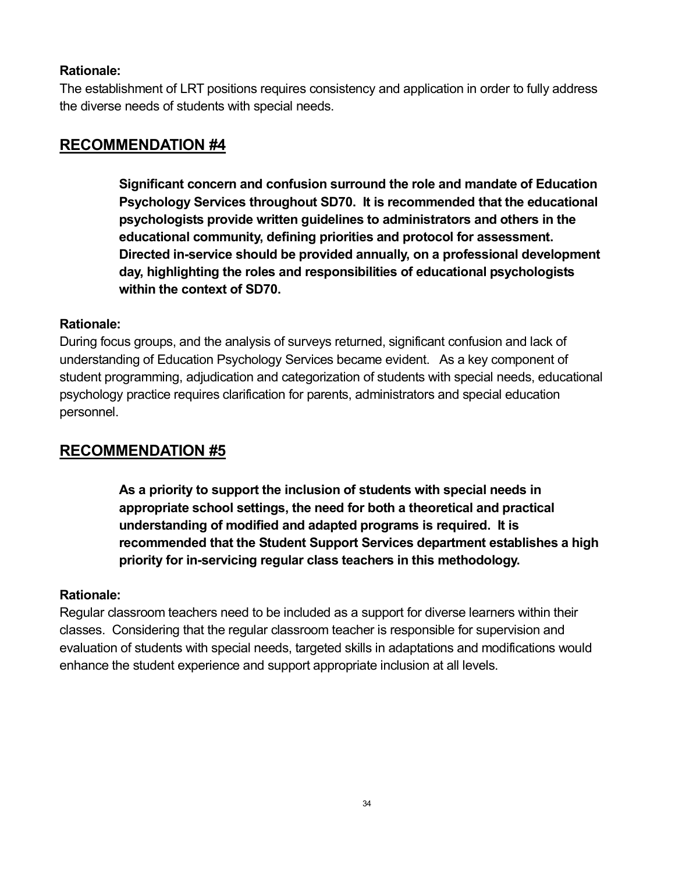#### **Rationale:**

The establishment of LRT positions requires consistency and application in order to fully address the diverse needs of students with special needs.

# **RECOMMENDATION #4**

**Significant concern and confusion surround the role and mandate of Education Psychology Services throughout SD70. It is recommended that the educational psychologists provide written guidelines to administrators and others in the educational community, defining priorities and protocol for assessment. Directed inservice should be provided annually, on a professional development day, highlighting the roles and responsibilities of educational psychologists within the context of SD70.** 

#### **Rationale:**

During focus groups, and the analysis of surveys returned, significant confusion and lack of understanding of Education Psychology Services became evident. As a key component of student programming, adjudication and categorization of students with special needs, educational psychology practice requires clarification for parents, administrators and special education personnel.

# **RECOMMENDATION #5**

**As a priority to support the inclusion of students with special needs in appropriate school settings, the need for both a theoretical and practical understanding of modified and adapted programs is required. It is recommended that the Student Support Services department establishes a high priority for inservicing regular class teachers in this methodology.** 

#### **Rationale:**

Regular classroom teachers need to be included as a support for diverse learners within their classes. Considering that the regular classroom teacher is responsible for supervision and evaluation of students with special needs, targeted skills in adaptations and modifications would enhance the student experience and support appropriate inclusion at all levels.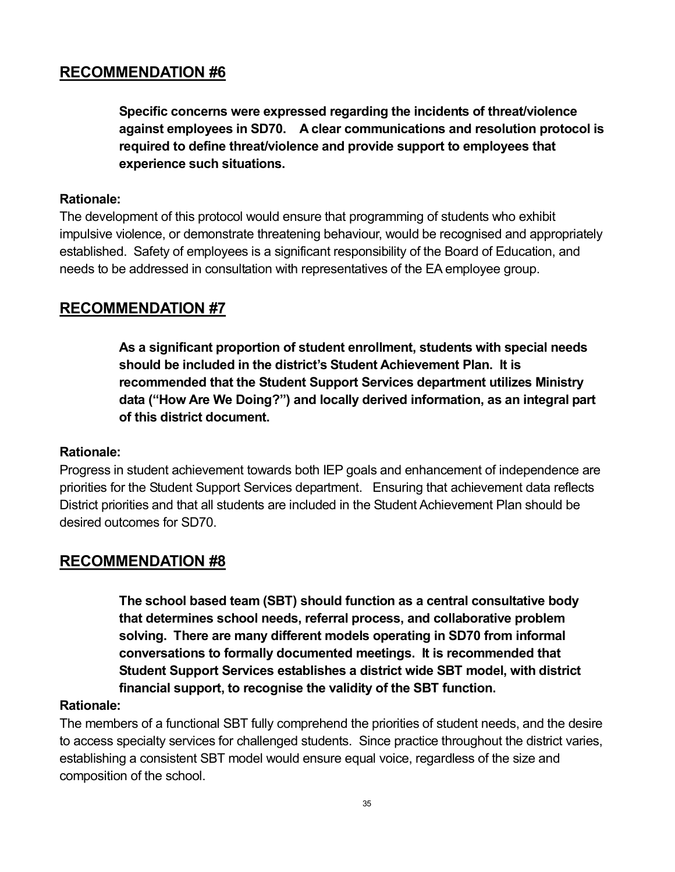**Specific concerns were expressed regarding the incidents of threat/violence against employees in SD70. A clear communications and resolution protocol is required to define threat/violence and provide support to employees that experience such situations.** 

#### **Rationale:**

The development of this protocol would ensure that programming of students who exhibit impulsive violence, or demonstrate threatening behaviour, would be recognised and appropriately established. Safety of employees is a significant responsibility of the Board of Education, and needs to be addressed in consultation with representatives of the EA employee group.

# **RECOMMENDATION #7**

**As a significant proportion of student enrollment, students with special needs should be included in the district's Student Achievement Plan. It is recommended that the Student Support Services department utilizes Ministry data ("How Are We Doing?") and locally derived information, as an integral part of this district document.** 

#### **Rationale:**

Progress in student achievement towards both IEP goals and enhancement of independence are priorities for the Student Support Services department. Ensuring that achievement data reflects District priorities and that all students are included in the Student Achievement Plan should be desired outcomes for SD70.

### **RECOMMENDATION #8**

**The school based team (SBT) should function as a central consultative body that determines school needs, referral process, and collaborative problem solving. There are many different models operating in SD70 from informal conversations to formally documented meetings. It is recommended that Student Support Services establishes a district wide SBT model, with district financial support, to recognise the validity of the SBT function.** 

#### **Rationale:**

The members of a functional SBT fully comprehend the priorities of student needs, and the desire to access specialty services for challenged students. Since practice throughout the district varies, establishing a consistent SBT model would ensure equal voice, regardless of the size and composition of the school.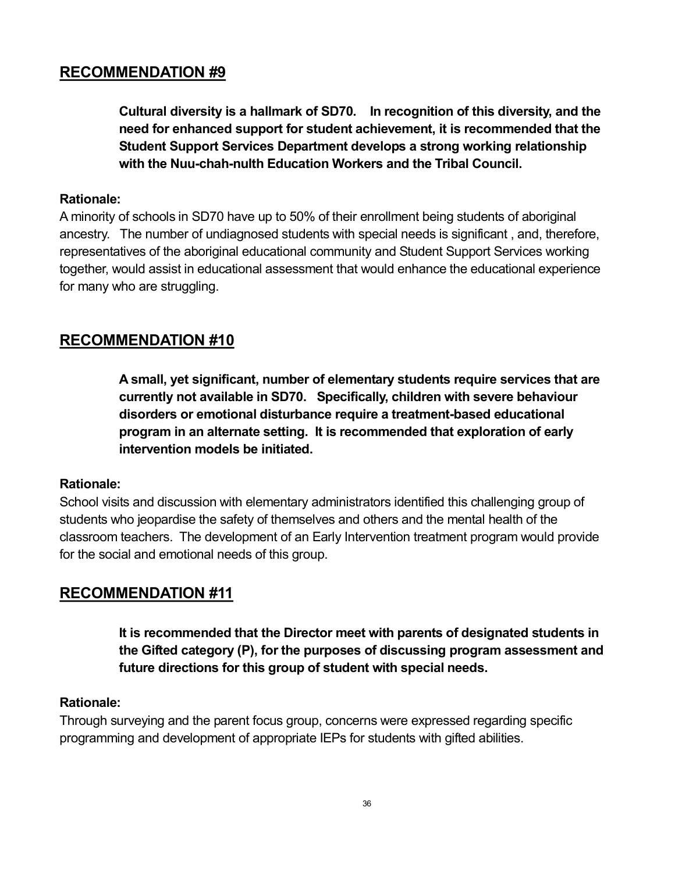**Cultural diversity is a hallmark of SD70. In recognition of this diversity, and the need for enhanced support for student achievement, it is recommended that the Student Support Services Department develops a strong working relationship with** the Nuu-chah-nulth Education Workers and the Tribal Council.

#### **Rationale:**

A minority of schools in SD70 have up to 50% of their enrollment being students of aboriginal ancestry. The number of undiagnosed students with special needs is significant , and, therefore, representatives of the aboriginal educational community and Student Support Services working together, would assist in educational assessment that would enhance the educational experience for many who are struggling.

# **RECOMMENDATION #10**

**A small, yet significant, number of elementary students require services that are currently not available in SD70. Specifically, children with severe behaviour disorders or emotional disturbance require a treatmentbased educational program in an alternate setting. It is recommended that exploration of early intervention models be initiated.** 

#### **Rationale:**

School visits and discussion with elementary administrators identified this challenging group of students who jeopardise the safety of themselves and others and the mental health of the classroom teachers. The development of an Early Intervention treatment program would provide for the social and emotional needs of this group.

### **RECOMMENDATION #11**

**It is recommended that the Director meet with parents of designated students in the Gifted category (P), for the purposes of discussing program assessment and future directions for this group of student with special needs.** 

#### **Rationale:**

Through surveying and the parent focus group, concerns were expressed regarding specific programming and development of appropriate IEPs for students with gifted abilities.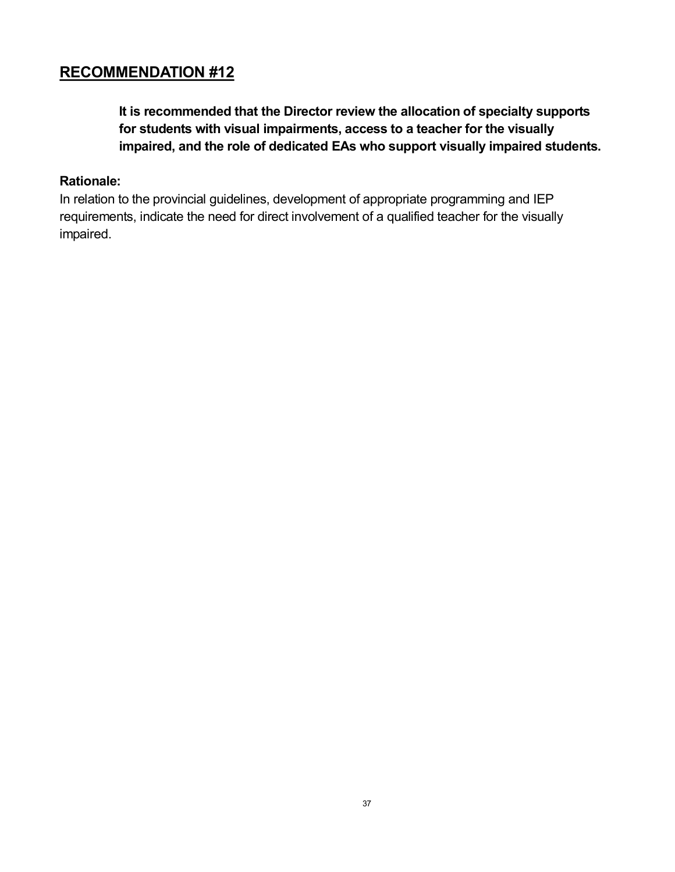**It is recommended that the Director review the allocation of specialty supports for students with visual impairments, access to a teacher for the visually impaired, and the role of dedicated EAs who support visually impaired students.** 

#### **Rationale:**

In relation to the provincial guidelines, development of appropriate programming and IEP requirements, indicate the need for direct involvement of a qualified teacher for the visually impaired.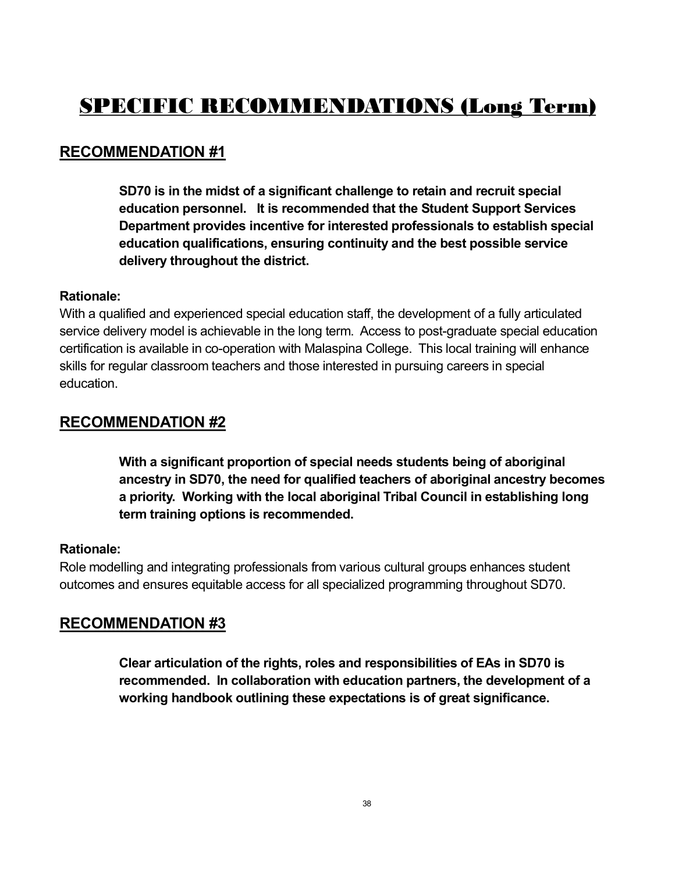# **SPECIFIC RECOMMENDATIONS (Long Term)**

# **RECOMMENDATION #1**

**SD70 is in the midst of a significant challenge to retain and recruit special education personnel. It is recommended that the Student Support Services Department provides incentive for interested professionals to establish special education qualifications, ensuring continuity and the best possible service delivery throughout the district.** 

#### **Rationale:**

With a qualified and experienced special education staff, the development of a fully articulated service delivery model is achievable in the long term. Access to post-graduate special education certification is available in co-operation with Malaspina College. This local training will enhance skills for regular classroom teachers and those interested in pursuing careers in special education.

# **RECOMMENDATION #2**

**With a significant proportion of special needs students being of aboriginal ancestry in SD70, the need for qualified teachers of aboriginal ancestry becomes a priority. Working with the local aboriginal Tribal Council in establishing long term training options is recommended.** 

#### **Rationale:**

Role modelling and integrating professionals from various cultural groups enhances student outcomes and ensures equitable access for all specialized programming throughout SD70.

### **RECOMMENDATION #3**

**Clear articulation of the rights, roles and responsibilities of EAs in SD70 is recommended. In collaboration with education partners, the development of a working handbook outlining these expectations is of great significance.**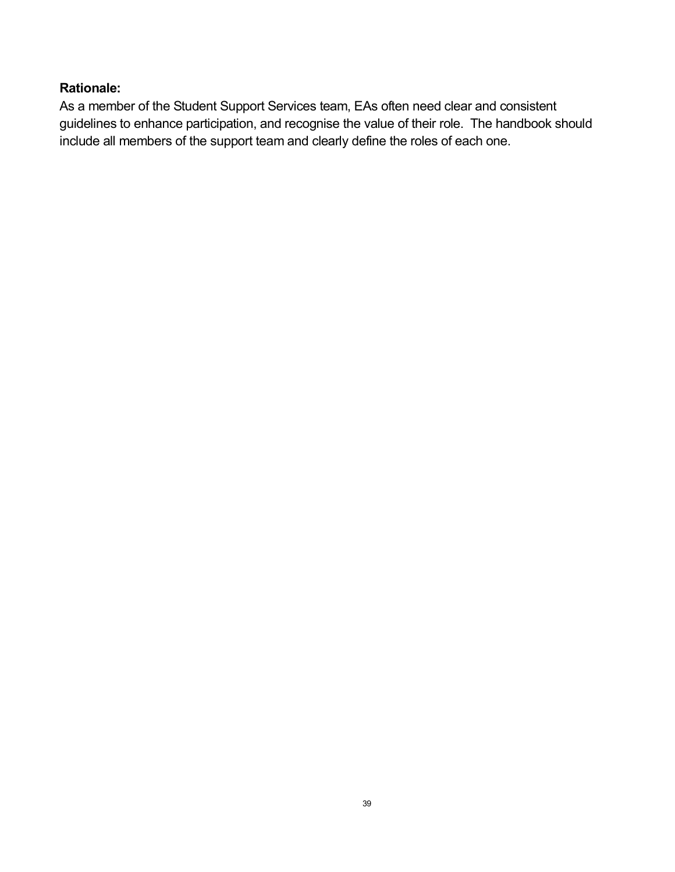#### **Rationale:**

As a member of the Student Support Services team, EAs often need clear and consistent guidelines to enhance participation, and recognise the value of their role. The handbook should include all members of the support team and clearly define the roles of each one.